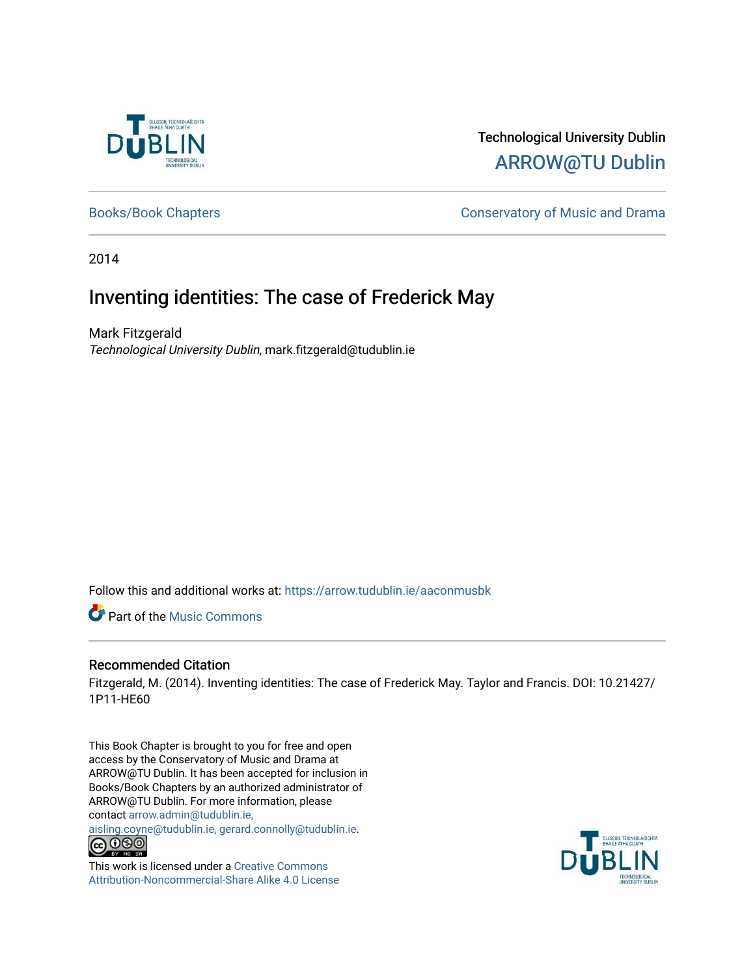

## Technological University Dublin [ARROW@TU Dublin](https://arrow.tudublin.ie/)

[Books/Book Chapters](https://arrow.tudublin.ie/aaconmusbk) **Conservatory of Music and Drama** 

2014

# Inventing identities: The case of Frederick May

Mark Fitzgerald Technological University Dublin, mark.fitzgerald@tudublin.ie

Follow this and additional works at: [https://arrow.tudublin.ie/aaconmusbk](https://arrow.tudublin.ie/aaconmusbk?utm_source=arrow.tudublin.ie%2Faaconmusbk%2F24&utm_medium=PDF&utm_campaign=PDFCoverPages)

**P** Part of the Music Commons

### Recommended Citation

Fitzgerald, M. (2014). Inventing identities: The case of Frederick May. Taylor and Francis. DOI: 10.21427/ 1P11-HE60

This Book Chapter is brought to you for free and open access by the Conservatory of Music and Drama at ARROW@TU Dublin. It has been accepted for inclusion in Books/Book Chapters by an authorized administrator of ARROW@TU Dublin. For more information, please contact [arrow.admin@tudublin.ie,](mailto:arrow.admin@tudublin.ie,%20aisling.coyne@tudublin.ie,%20gerard.connolly@tudublin.ie) 

[aisling.coyne@tudublin.ie, gerard.connolly@tudublin.ie](mailto:arrow.admin@tudublin.ie,%20aisling.coyne@tudublin.ie,%20gerard.connolly@tudublin.ie).<br>
co 000



This work is licensed under a [Creative Commons](http://creativecommons.org/licenses/by-nc-sa/4.0/) [Attribution-Noncommercial-Share Alike 4.0 License](http://creativecommons.org/licenses/by-nc-sa/4.0/)

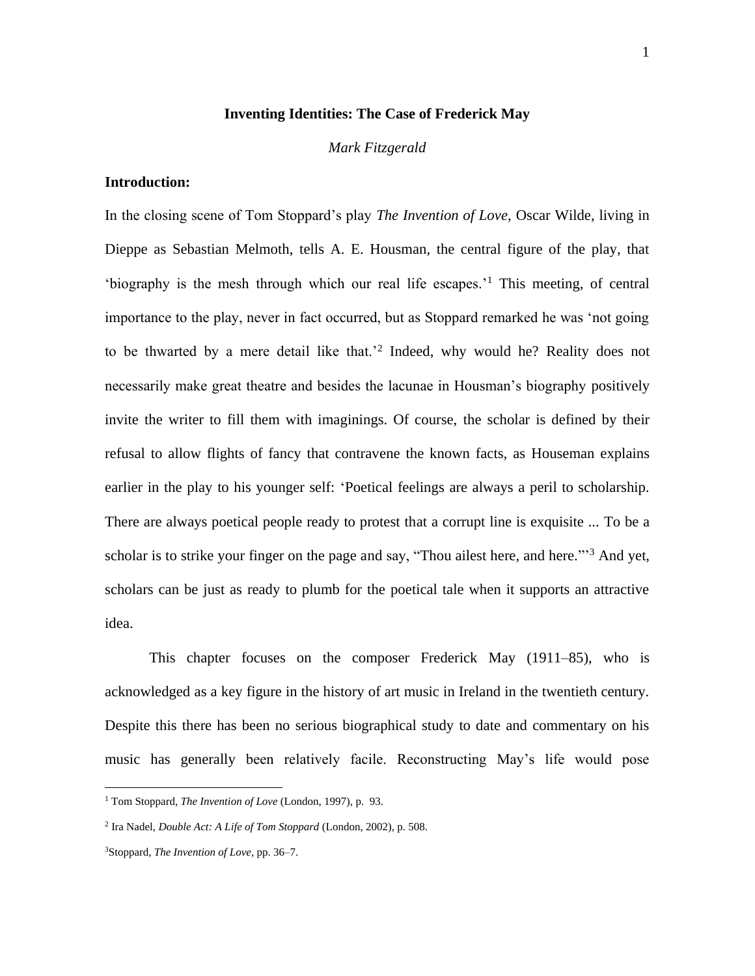#### **Inventing Identities: The Case of Frederick May**

#### *Mark Fitzgerald*

#### **Introduction:**

In the closing scene of Tom Stoppard's play *The Invention of Love*, Oscar Wilde, living in Dieppe as Sebastian Melmoth, tells A. E. Housman, the central figure of the play, that 'biography is the mesh through which our real life escapes.'<sup>1</sup> This meeting, of central importance to the play, never in fact occurred, but as Stoppard remarked he was 'not going to be thwarted by a mere detail like that.'<sup>2</sup> Indeed, why would he? Reality does not necessarily make great theatre and besides the lacunae in Housman's biography positively invite the writer to fill them with imaginings. Of course, the scholar is defined by their refusal to allow flights of fancy that contravene the known facts, as Houseman explains earlier in the play to his younger self: 'Poetical feelings are always a peril to scholarship. There are always poetical people ready to protest that a corrupt line is exquisite ... To be a scholar is to strike your finger on the page and say, "Thou ailest here, and here."<sup>3</sup> And yet, scholars can be just as ready to plumb for the poetical tale when it supports an attractive idea.

This chapter focuses on the composer Frederick May (1911–85), who is acknowledged as a key figure in the history of art music in Ireland in the twentieth century. Despite this there has been no serious biographical study to date and commentary on his music has generally been relatively facile. Reconstructing May's life would pose

<sup>1</sup> Tom Stoppard, *The Invention of Love* (London, 1997), p. 93.

<sup>2</sup> Ira Nadel, *Double Act: A Life of Tom Stoppard* (London, 2002), p. 508.

<sup>3</sup>Stoppard, *The Invention of Love*, pp. 36–7.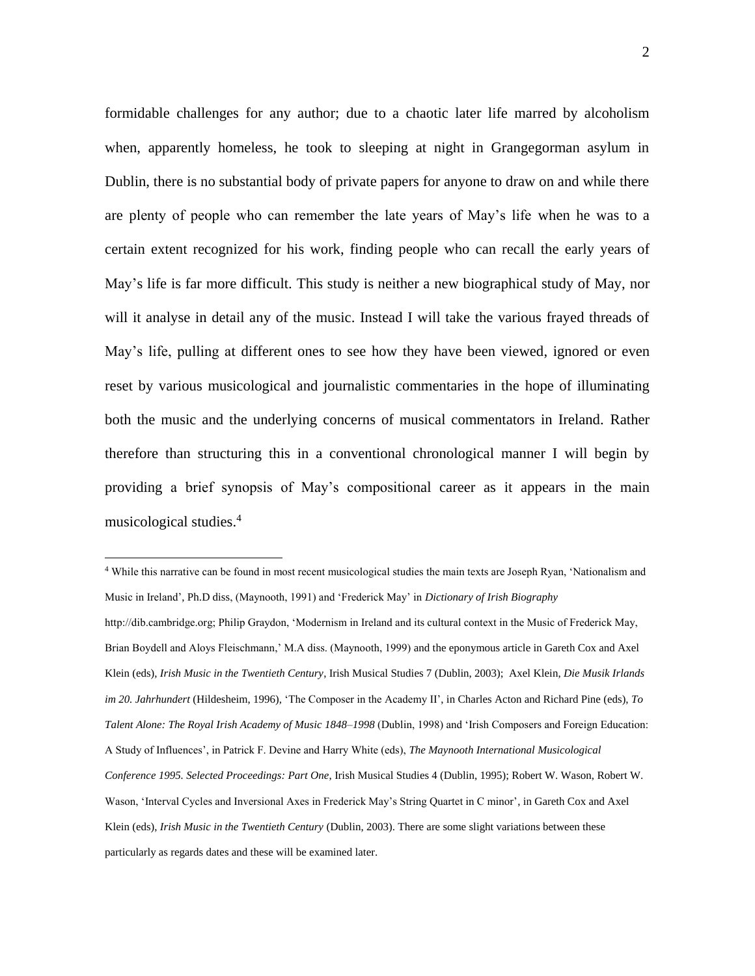formidable challenges for any author; due to a chaotic later life marred by alcoholism when, apparently homeless, he took to sleeping at night in Grangegorman asylum in Dublin, there is no substantial body of private papers for anyone to draw on and while there are plenty of people who can remember the late years of May's life when he was to a certain extent recognized for his work, finding people who can recall the early years of May's life is far more difficult. This study is neither a new biographical study of May, nor will it analyse in detail any of the music. Instead I will take the various frayed threads of May's life, pulling at different ones to see how they have been viewed, ignored or even reset by various musicological and journalistic commentaries in the hope of illuminating both the music and the underlying concerns of musical commentators in Ireland. Rather therefore than structuring this in a conventional chronological manner I will begin by providing a brief synopsis of May's compositional career as it appears in the main musicological studies. 4

<sup>4</sup> While this narrative can be found in most recent musicological studies the main texts are Joseph Ryan, 'Nationalism and Music in Ireland', Ph.D diss, (Maynooth, 1991) and 'Frederick May' in *Dictionary of Irish Biography* http://dib.cambridge.org; Philip Graydon, 'Modernism in Ireland and its cultural context in the Music of Frederick May, Brian Boydell and Aloys Fleischmann,' M.A diss. (Maynooth, 1999) and the eponymous article in Gareth Cox and Axel Klein (eds), *Irish Music in the Twentieth Century*, Irish Musical Studies 7 (Dublin, 2003); Axel Klein, *Die Musik Irlands im 20. Jahrhundert* (Hildesheim, 1996), 'The Composer in the Academy II', in Charles Acton and Richard Pine (eds), *To Talent Alone: The Royal Irish Academy of Music 1848–1998* (Dublin, 1998) and 'Irish Composers and Foreign Education: A Study of Influences', in Patrick F. Devine and Harry White (eds), *The Maynooth International Musicological Conference 1995. Selected Proceedings: Part One*, Irish Musical Studies 4 (Dublin, 1995); Robert W. Wason, Robert W. Wason, 'Interval Cycles and Inversional Axes in Frederick May's String Quartet in C minor', in Gareth Cox and Axel Klein (eds), *Irish Music in the Twentieth Century* (Dublin, 2003). There are some slight variations between these particularly as regards dates and these will be examined later.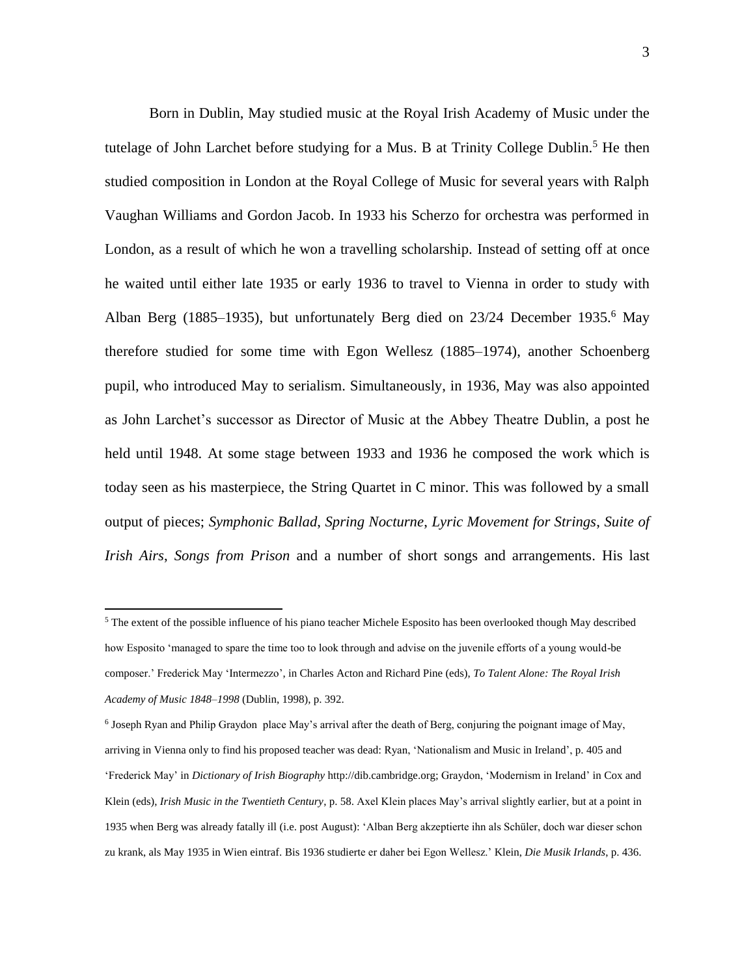Born in Dublin, May studied music at the Royal Irish Academy of Music under the tutelage of John Larchet before studying for a Mus. B at Trinity College Dublin.<sup>5</sup> He then studied composition in London at the Royal College of Music for several years with Ralph Vaughan Williams and Gordon Jacob. In 1933 his Scherzo for orchestra was performed in London, as a result of which he won a travelling scholarship. Instead of setting off at once he waited until either late 1935 or early 1936 to travel to Vienna in order to study with Alban Berg (1885–1935), but unfortunately Berg died on 23/24 December 1935.<sup>6</sup> May therefore studied for some time with Egon Wellesz (1885–1974), another Schoenberg pupil, who introduced May to serialism. Simultaneously, in 1936, May was also appointed as John Larchet's successor as Director of Music at the Abbey Theatre Dublin, a post he held until 1948. At some stage between 1933 and 1936 he composed the work which is today seen as his masterpiece, the String Quartet in C minor. This was followed by a small output of pieces; *Symphonic Ballad*, *Spring Nocturne*, *Lyric Movement for Strings*, *Suite of Irish Airs*, *Songs from Prison* and a number of short songs and arrangements. His last

<sup>5</sup> The extent of the possible influence of his piano teacher Michele Esposito has been overlooked though May described how Esposito 'managed to spare the time too to look through and advise on the juvenile efforts of a young would-be composer.' Frederick May 'Intermezzo', in Charles Acton and Richard Pine (eds), *To Talent Alone: The Royal Irish Academy of Music 1848–1998* (Dublin, 1998), p. 392.

<sup>6</sup> Joseph Ryan and Philip Graydon place May's arrival after the death of Berg, conjuring the poignant image of May, arriving in Vienna only to find his proposed teacher was dead: Ryan, 'Nationalism and Music in Ireland', p. 405 and 'Frederick May' in *Dictionary of Irish Biography* http://dib.cambridge.org; Graydon, 'Modernism in Ireland' in Cox and Klein (eds), *Irish Music in the Twentieth Century*, p. 58. Axel Klein places May's arrival slightly earlier, but at a point in 1935 when Berg was already fatally ill (i.e. post August): 'Alban Berg akzeptierte ihn als Schüler, doch war dieser schon zu krank, als May 1935 in Wien eintraf. Bis 1936 studierte er daher bei Egon Wellesz.' Klein, *Die Musik Irlands*, p. 436.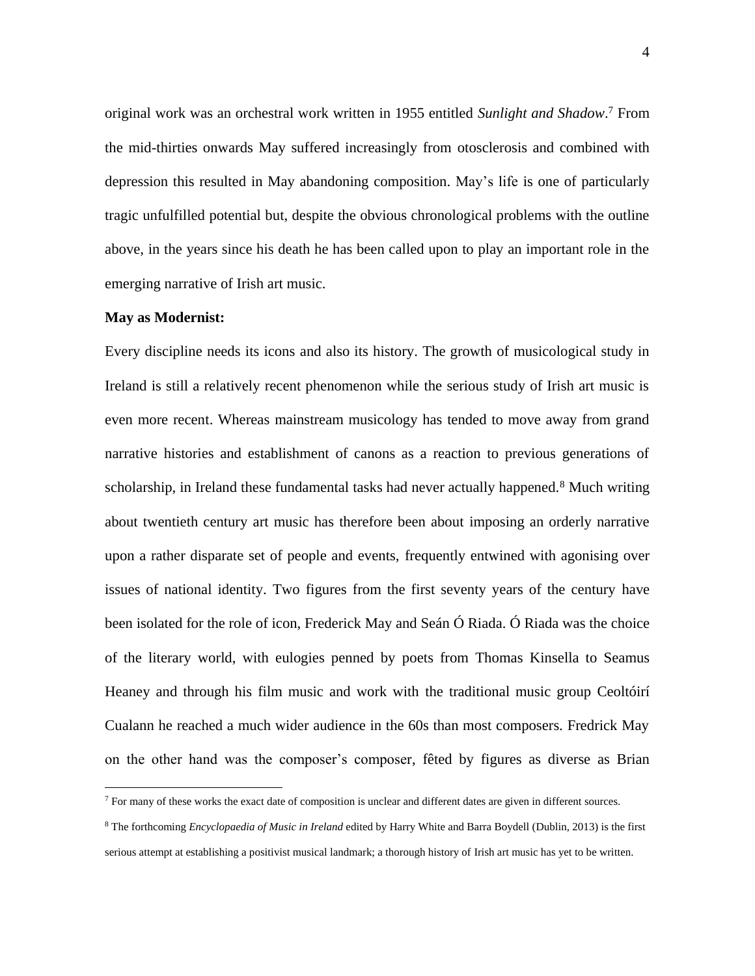original work was an orchestral work written in 1955 entitled *Sunlight and Shadow*. <sup>7</sup> From the mid-thirties onwards May suffered increasingly from otosclerosis and combined with depression this resulted in May abandoning composition. May's life is one of particularly tragic unfulfilled potential but, despite the obvious chronological problems with the outline above, in the years since his death he has been called upon to play an important role in the emerging narrative of Irish art music.

#### **May as Modernist:**

<u>.</u>

Every discipline needs its icons and also its history. The growth of musicological study in Ireland is still a relatively recent phenomenon while the serious study of Irish art music is even more recent. Whereas mainstream musicology has tended to move away from grand narrative histories and establishment of canons as a reaction to previous generations of scholarship, in Ireland these fundamental tasks had never actually happened.<sup>8</sup> Much writing about twentieth century art music has therefore been about imposing an orderly narrative upon a rather disparate set of people and events, frequently entwined with agonising over issues of national identity. Two figures from the first seventy years of the century have been isolated for the role of icon, Frederick May and Seán Ó Riada. Ó Riada was the choice of the literary world, with eulogies penned by poets from Thomas Kinsella to Seamus Heaney and through his film music and work with the traditional music group Ceoltóirí Cualann he reached a much wider audience in the 60s than most composers. Fredrick May on the other hand was the composer's composer, fêted by figures as diverse as Brian

 $<sup>7</sup>$  For many of these works the exact date of composition is unclear and different dates are given in different sources.</sup>

<sup>8</sup> The forthcoming *Encyclopaedia of Music in Ireland* edited by Harry White and Barra Boydell (Dublin, 2013) is the first serious attempt at establishing a positivist musical landmark; a thorough history of Irish art music has yet to be written.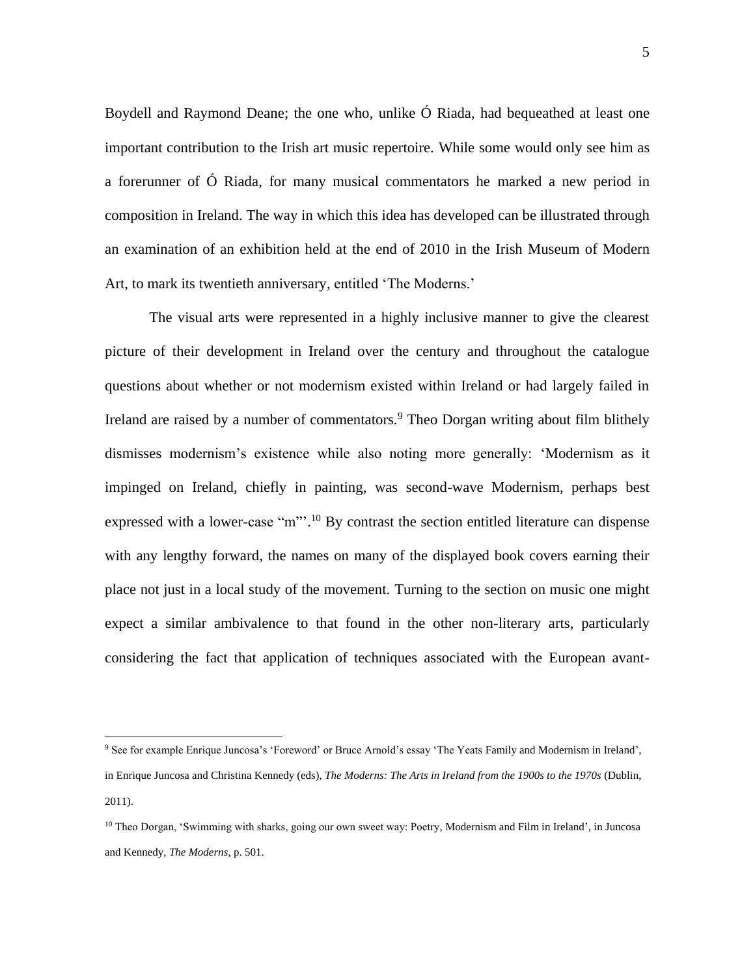Boydell and Raymond Deane; the one who, unlike Ó Riada, had bequeathed at least one important contribution to the Irish art music repertoire. While some would only see him as a forerunner of Ó Riada, for many musical commentators he marked a new period in composition in Ireland. The way in which this idea has developed can be illustrated through an examination of an exhibition held at the end of 2010 in the Irish Museum of Modern Art, to mark its twentieth anniversary, entitled 'The Moderns.'

The visual arts were represented in a highly inclusive manner to give the clearest picture of their development in Ireland over the century and throughout the catalogue questions about whether or not modernism existed within Ireland or had largely failed in Ireland are raised by a number of commentators.<sup>9</sup> Theo Dorgan writing about film blithely dismisses modernism's existence while also noting more generally: 'Modernism as it impinged on Ireland, chiefly in painting, was second-wave Modernism, perhaps best expressed with a lower-case "m"'.<sup>10</sup> By contrast the section entitled literature can dispense with any lengthy forward, the names on many of the displayed book covers earning their place not just in a local study of the movement. Turning to the section on music one might expect a similar ambivalence to that found in the other non-literary arts, particularly considering the fact that application of techniques associated with the European avant-

<sup>9</sup> See for example Enrique Juncosa's 'Foreword' or Bruce Arnold's essay 'The Yeats Family and Modernism in Ireland', in Enrique Juncosa and Christina Kennedy (eds), *The Moderns: The Arts in Ireland from the 1900s to the 1970s* (Dublin, 2011).

<sup>&</sup>lt;sup>10</sup> Theo Dorgan, 'Swimming with sharks, going our own sweet way: Poetry, Modernism and Film in Ireland', in Juncosa and Kennedy, *The Moderns*, p. 501.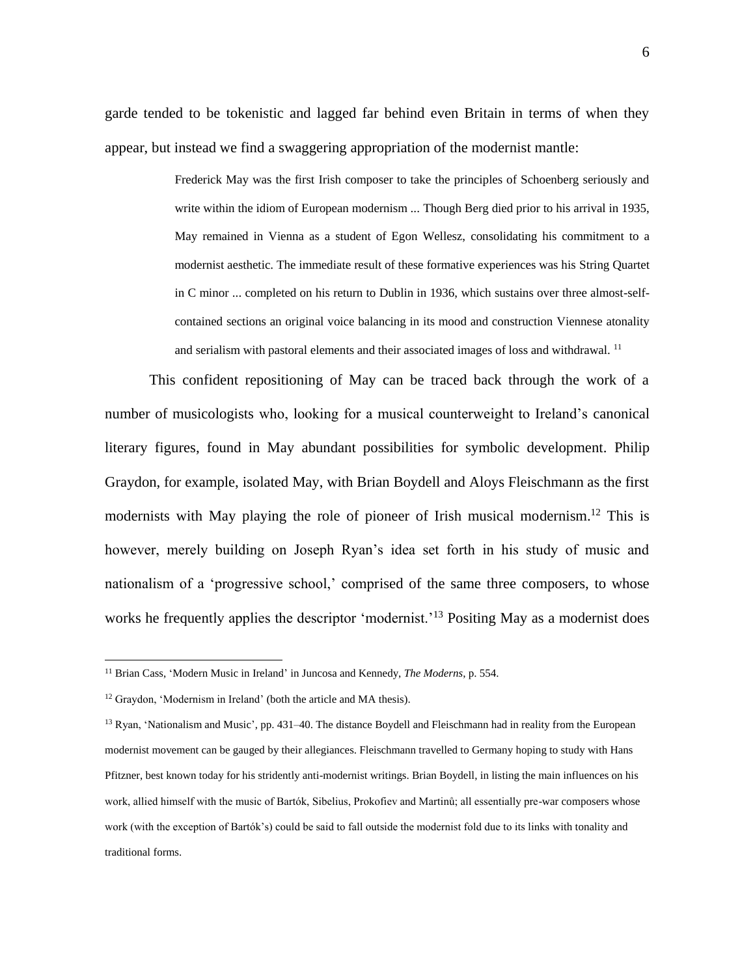garde tended to be tokenistic and lagged far behind even Britain in terms of when they appear, but instead we find a swaggering appropriation of the modernist mantle:

> Frederick May was the first Irish composer to take the principles of Schoenberg seriously and write within the idiom of European modernism ... Though Berg died prior to his arrival in 1935, May remained in Vienna as a student of Egon Wellesz, consolidating his commitment to a modernist aesthetic. The immediate result of these formative experiences was his String Quartet in C minor ... completed on his return to Dublin in 1936, which sustains over three almost-selfcontained sections an original voice balancing in its mood and construction Viennese atonality and serialism with pastoral elements and their associated images of loss and withdrawal. <sup>11</sup>

This confident repositioning of May can be traced back through the work of a number of musicologists who, looking for a musical counterweight to Ireland's canonical literary figures, found in May abundant possibilities for symbolic development. Philip Graydon, for example, isolated May, with Brian Boydell and Aloys Fleischmann as the first modernists with May playing the role of pioneer of Irish musical modernism. <sup>12</sup> This is however, merely building on Joseph Ryan's idea set forth in his study of music and nationalism of a 'progressive school,' comprised of the same three composers, to whose works he frequently applies the descriptor 'modernist.'<sup>13</sup> Positing May as a modernist does

<sup>11</sup> Brian Cass, 'Modern Music in Ireland' in Juncosa and Kennedy, *The Moderns*, p. 554.

<sup>12</sup> Graydon, 'Modernism in Ireland' (both the article and MA thesis).

<sup>13</sup> Ryan, 'Nationalism and Music', pp. 431–40. The distance Boydell and Fleischmann had in reality from the European modernist movement can be gauged by their allegiances. Fleischmann travelled to Germany hoping to study with Hans Pfitzner, best known today for his stridently anti-modernist writings. Brian Boydell, in listing the main influences on his work, allied himself with the music of Bartók, Sibelius, Prokofiev and Martinů; all essentially pre-war composers whose work (with the exception of Bartók's) could be said to fall outside the modernist fold due to its links with tonality and traditional forms.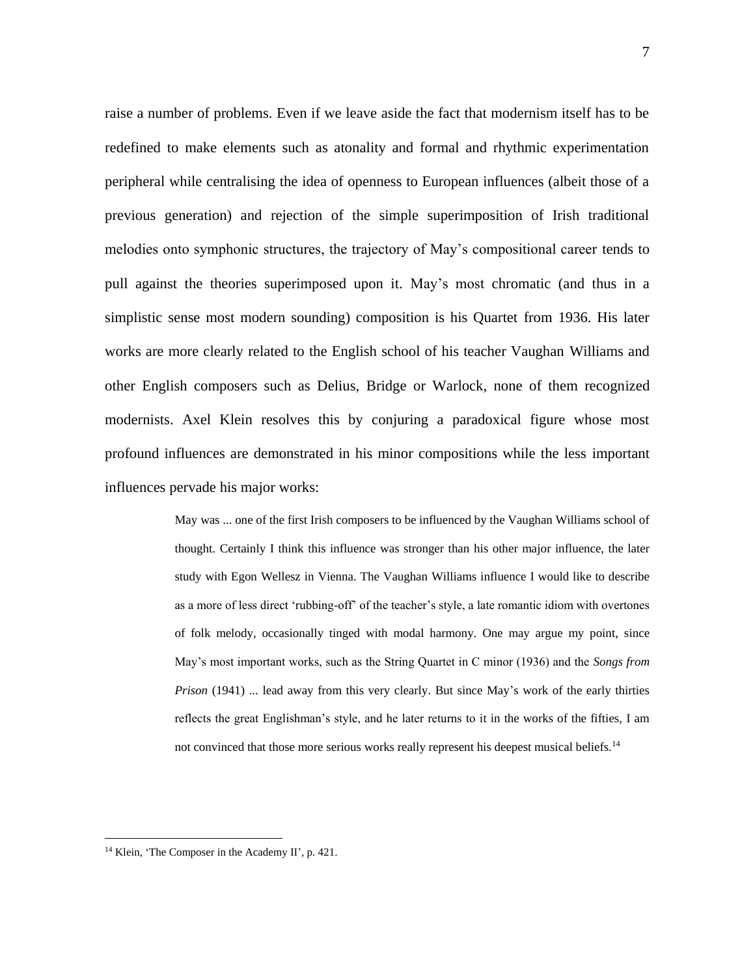raise a number of problems. Even if we leave aside the fact that modernism itself has to be redefined to make elements such as atonality and formal and rhythmic experimentation peripheral while centralising the idea of openness to European influences (albeit those of a previous generation) and rejection of the simple superimposition of Irish traditional melodies onto symphonic structures, the trajectory of May's compositional career tends to pull against the theories superimposed upon it. May's most chromatic (and thus in a simplistic sense most modern sounding) composition is his Quartet from 1936. His later works are more clearly related to the English school of his teacher Vaughan Williams and other English composers such as Delius, Bridge or Warlock, none of them recognized modernists. Axel Klein resolves this by conjuring a paradoxical figure whose most profound influences are demonstrated in his minor compositions while the less important influences pervade his major works:

> May was ... one of the first Irish composers to be influenced by the Vaughan Williams school of thought. Certainly I think this influence was stronger than his other major influence, the later study with Egon Wellesz in Vienna. The Vaughan Williams influence I would like to describe as a more of less direct 'rubbing-off' of the teacher's style, a late romantic idiom with overtones of folk melody, occasionally tinged with modal harmony. One may argue my point, since May's most important works, such as the String Quartet in C minor (1936) and the *Songs from Prison* (1941) ... lead away from this very clearly. But since May's work of the early thirties reflects the great Englishman's style, and he later returns to it in the works of the fifties, I am not convinced that those more serious works really represent his deepest musical beliefs.<sup>14</sup>

7

<sup>14</sup> Klein, 'The Composer in the Academy II', p. 421.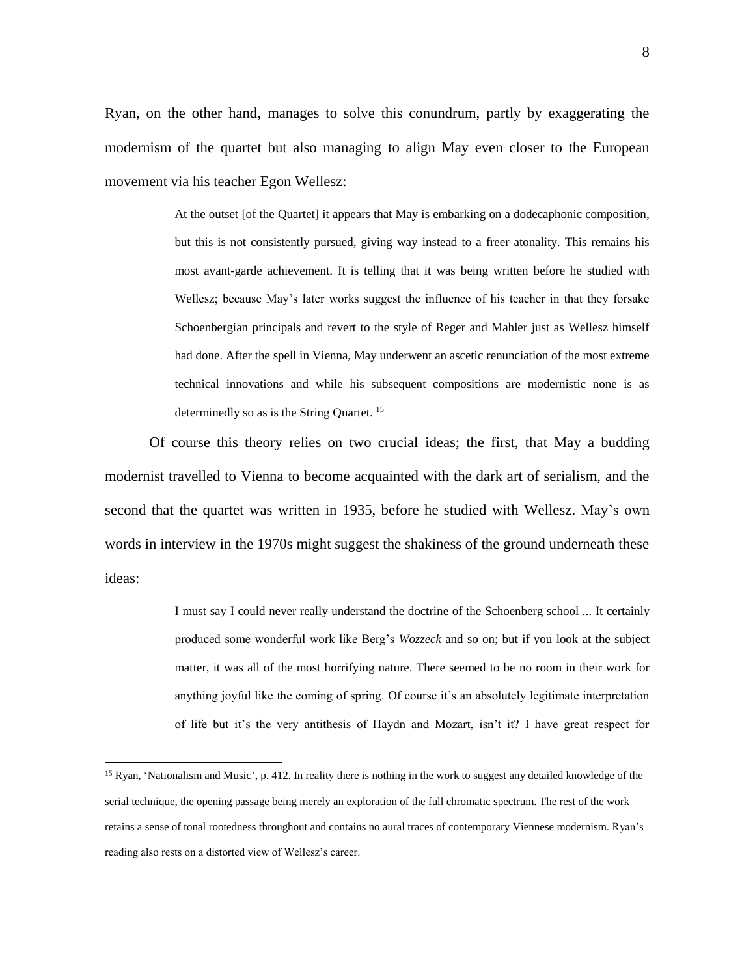Ryan, on the other hand, manages to solve this conundrum, partly by exaggerating the modernism of the quartet but also managing to align May even closer to the European movement via his teacher Egon Wellesz:

> At the outset [of the Quartet] it appears that May is embarking on a dodecaphonic composition, but this is not consistently pursued, giving way instead to a freer atonality. This remains his most avant-garde achievement. It is telling that it was being written before he studied with Wellesz; because May's later works suggest the influence of his teacher in that they forsake Schoenbergian principals and revert to the style of Reger and Mahler just as Wellesz himself had done. After the spell in Vienna, May underwent an ascetic renunciation of the most extreme technical innovations and while his subsequent compositions are modernistic none is as determinedly so as is the String Quartet. <sup>15</sup>

Of course this theory relies on two crucial ideas; the first, that May a budding modernist travelled to Vienna to become acquainted with the dark art of serialism, and the second that the quartet was written in 1935, before he studied with Wellesz. May's own words in interview in the 1970s might suggest the shakiness of the ground underneath these ideas:

> I must say I could never really understand the doctrine of the Schoenberg school ... It certainly produced some wonderful work like Berg's *Wozzeck* and so on; but if you look at the subject matter, it was all of the most horrifying nature. There seemed to be no room in their work for anything joyful like the coming of spring. Of course it's an absolutely legitimate interpretation of life but it's the very antithesis of Haydn and Mozart, isn't it? I have great respect for

 $15$  Ryan, 'Nationalism and Music', p. 412. In reality there is nothing in the work to suggest any detailed knowledge of the serial technique, the opening passage being merely an exploration of the full chromatic spectrum. The rest of the work retains a sense of tonal rootedness throughout and contains no aural traces of contemporary Viennese modernism. Ryan's reading also rests on a distorted view of Wellesz's career.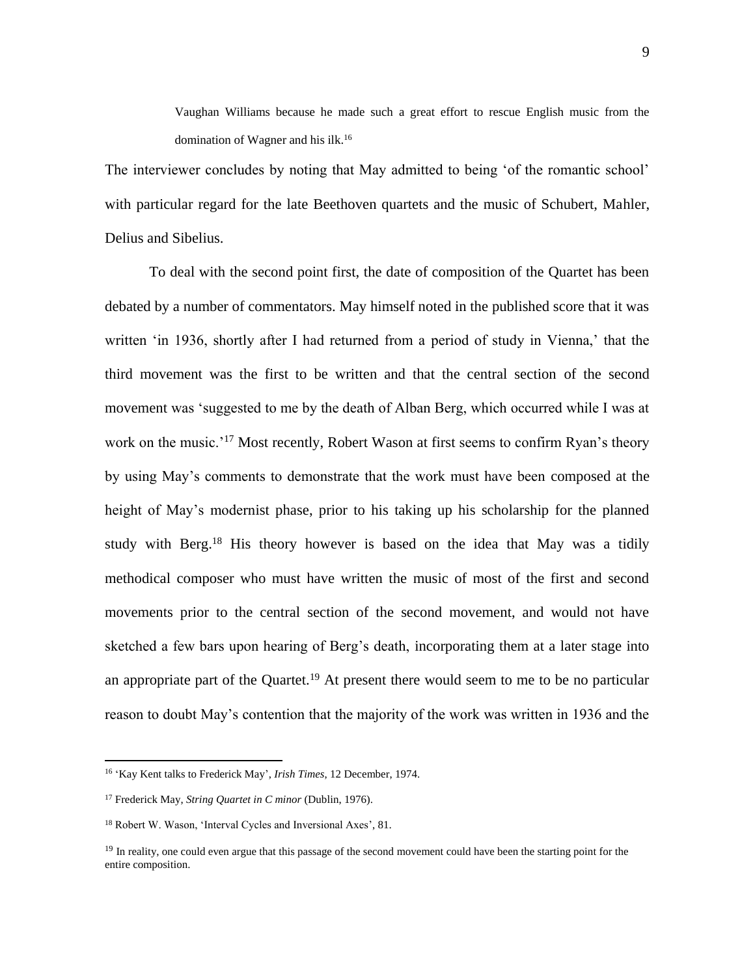Vaughan Williams because he made such a great effort to rescue English music from the domination of Wagner and his ilk.<sup>16</sup>

The interviewer concludes by noting that May admitted to being 'of the romantic school' with particular regard for the late Beethoven quartets and the music of Schubert, Mahler, Delius and Sibelius.

To deal with the second point first, the date of composition of the Quartet has been debated by a number of commentators. May himself noted in the published score that it was written 'in 1936, shortly after I had returned from a period of study in Vienna,' that the third movement was the first to be written and that the central section of the second movement was 'suggested to me by the death of Alban Berg, which occurred while I was at work on the music.'<sup>17</sup> Most recently, Robert Wason at first seems to confirm Ryan's theory by using May's comments to demonstrate that the work must have been composed at the height of May's modernist phase, prior to his taking up his scholarship for the planned study with Berg.<sup>18</sup> His theory however is based on the idea that May was a tidily methodical composer who must have written the music of most of the first and second movements prior to the central section of the second movement, and would not have sketched a few bars upon hearing of Berg's death, incorporating them at a later stage into an appropriate part of the Quartet.<sup>19</sup> At present there would seem to me to be no particular reason to doubt May's contention that the majority of the work was written in 1936 and the

<sup>16</sup> 'Kay Kent talks to Frederick May', *Irish Times*, 12 December, 1974.

<sup>17</sup> Frederick May, *String Quartet in C minor* (Dublin, 1976).

<sup>18</sup> Robert W. Wason, 'Interval Cycles and Inversional Axes', 81.

<sup>&</sup>lt;sup>19</sup> In reality, one could even argue that this passage of the second movement could have been the starting point for the entire composition.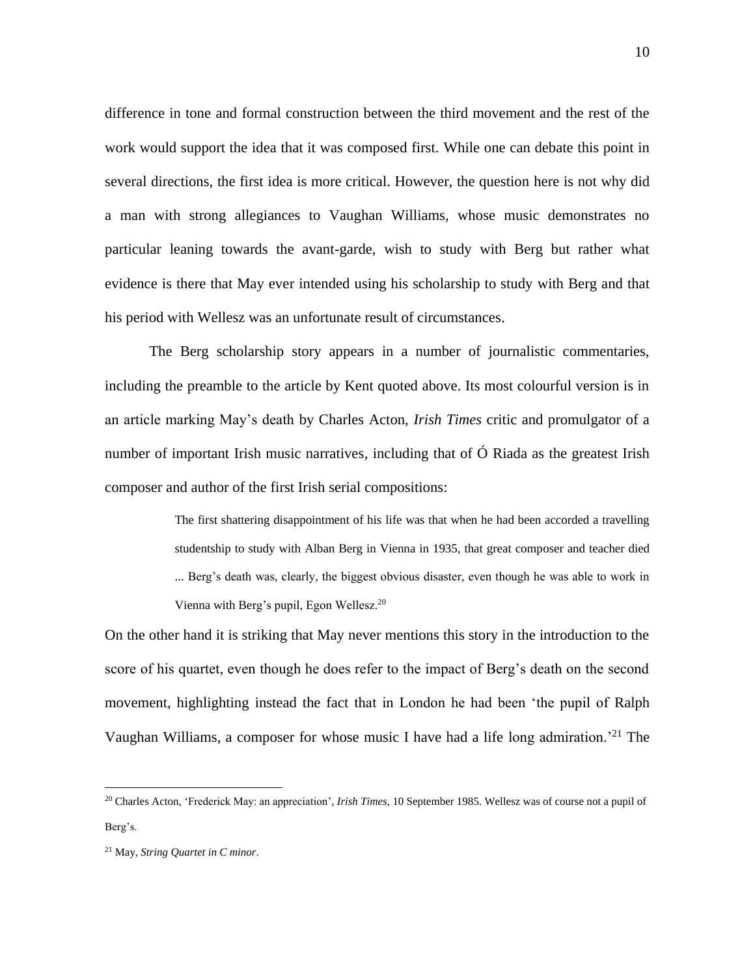difference in tone and formal construction between the third movement and the rest of the work would support the idea that it was composed first. While one can debate this point in several directions, the first idea is more critical. However, the question here is not why did a man with strong allegiances to Vaughan Williams, whose music demonstrates no particular leaning towards the avant-garde, wish to study with Berg but rather what evidence is there that May ever intended using his scholarship to study with Berg and that his period with Wellesz was an unfortunate result of circumstances.

The Berg scholarship story appears in a number of journalistic commentaries, including the preamble to the article by Kent quoted above. Its most colourful version is in an article marking May's death by Charles Acton, *Irish Times* critic and promulgator of a number of important Irish music narratives, including that of Ó Riada as the greatest Irish composer and author of the first Irish serial compositions:

> The first shattering disappointment of his life was that when he had been accorded a travelling studentship to study with Alban Berg in Vienna in 1935, that great composer and teacher died ... Berg's death was, clearly, the biggest obvious disaster, even though he was able to work in Vienna with Berg's pupil, Egon Wellesz.<sup>20</sup>

On the other hand it is striking that May never mentions this story in the introduction to the score of his quartet, even though he does refer to the impact of Berg's death on the second movement, highlighting instead the fact that in London he had been 'the pupil of Ralph Vaughan Williams, a composer for whose music I have had a life long admiration.'<sup>21</sup> The

<sup>20</sup> Charles Acton, 'Frederick May: an appreciation', *Irish Times*, 10 September 1985. Wellesz was of course not a pupil of Berg's.

<sup>21</sup> May, *String Quartet in C minor*.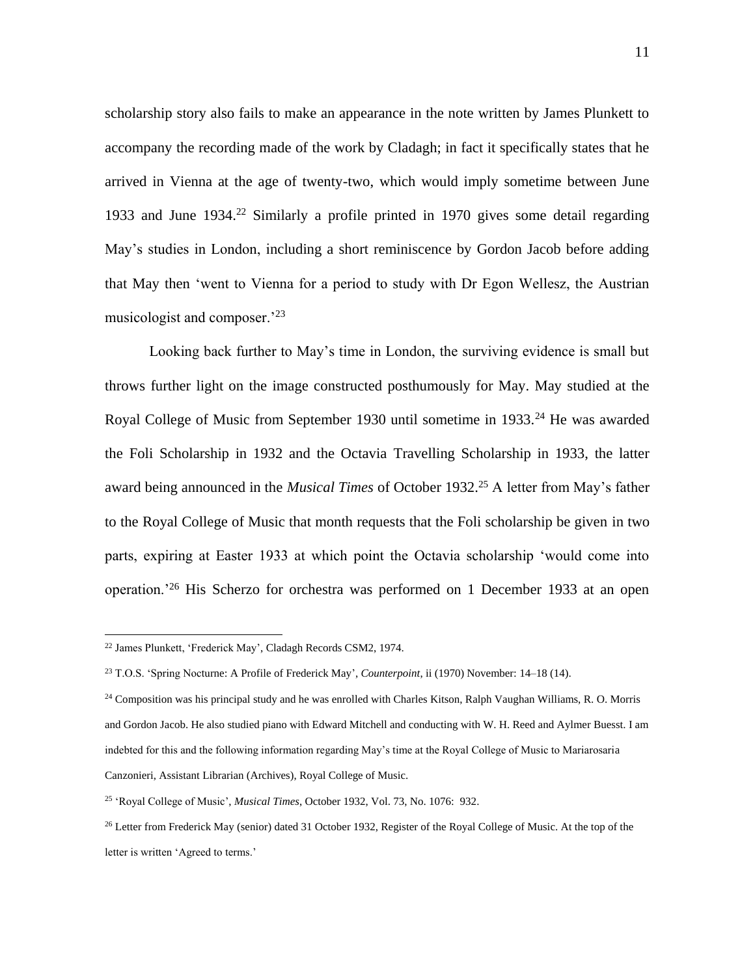scholarship story also fails to make an appearance in the note written by James Plunkett to accompany the recording made of the work by Cladagh; in fact it specifically states that he arrived in Vienna at the age of twenty-two, which would imply sometime between June 1933 and June  $1934<sup>22</sup>$  Similarly a profile printed in 1970 gives some detail regarding May's studies in London, including a short reminiscence by Gordon Jacob before adding that May then 'went to Vienna for a period to study with Dr Egon Wellesz, the Austrian musicologist and composer.'<sup>23</sup>

Looking back further to May's time in London, the surviving evidence is small but throws further light on the image constructed posthumously for May. May studied at the Royal College of Music from September 1930 until sometime in 1933.<sup>24</sup> He was awarded the Foli Scholarship in 1932 and the Octavia Travelling Scholarship in 1933, the latter award being announced in the *Musical Times* of October 1932.<sup>25</sup> A letter from May's father to the Royal College of Music that month requests that the Foli scholarship be given in two parts, expiring at Easter 1933 at which point the Octavia scholarship 'would come into operation.'<sup>26</sup> His Scherzo for orchestra was performed on 1 December 1933 at an open

<sup>22</sup> James Plunkett, 'Frederick May', Cladagh Records CSM2, 1974.

<sup>23</sup> T.O.S. 'Spring Nocturne: A Profile of Frederick May', *Counterpoint*, ii (1970) November: 14–18 (14).

<sup>&</sup>lt;sup>24</sup> Composition was his principal study and he was enrolled with Charles Kitson, Ralph Vaughan Williams, R. O. Morris and Gordon Jacob. He also studied piano with Edward Mitchell and conducting with W. H. Reed and Aylmer Buesst. I am indebted for this and the following information regarding May's time at the Royal College of Music to Mariarosaria Canzonieri, Assistant Librarian (Archives), Royal College of Music.

<sup>25</sup> 'Royal College of Music', *Musical Times*, October 1932, Vol. 73, No. 1076: 932.

 $^{26}$  Letter from Frederick May (senior) dated 31 October 1932, Register of the Royal College of Music. At the top of the letter is written 'Agreed to terms.'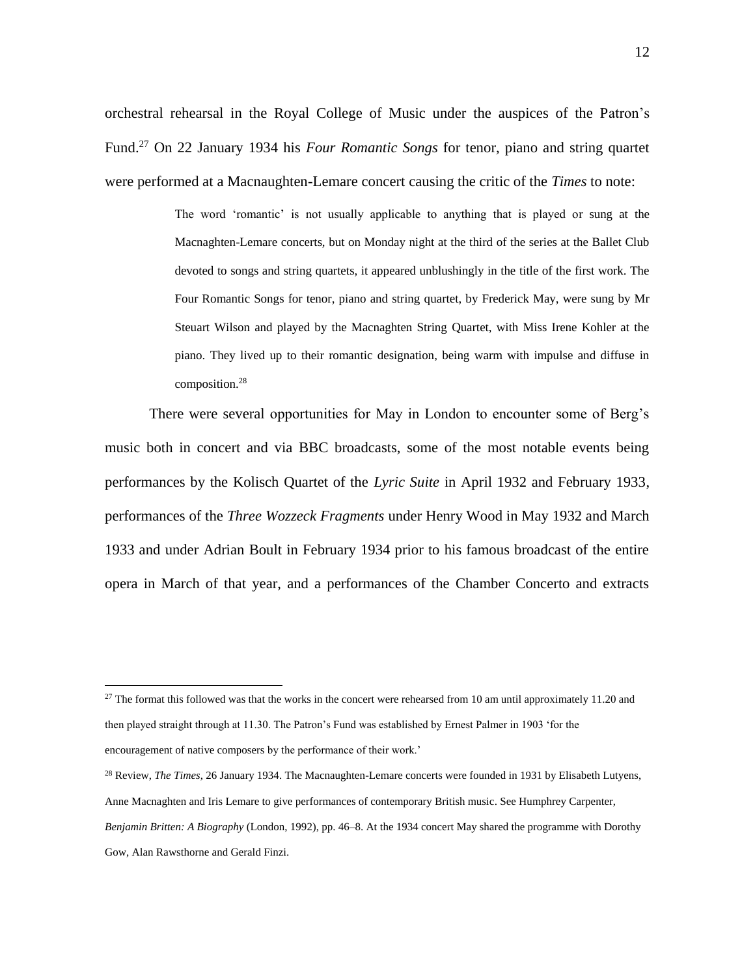orchestral rehearsal in the Royal College of Music under the auspices of the Patron's Fund.<sup>27</sup> On 22 January 1934 his *Four Romantic Songs* for tenor, piano and string quartet were performed at a Macnaughten-Lemare concert causing the critic of the *Times* to note:

> The word 'romantic' is not usually applicable to anything that is played or sung at the Macnaghten-Lemare concerts, but on Monday night at the third of the series at the Ballet Club devoted to songs and string quartets, it appeared unblushingly in the title of the first work. The Four Romantic Songs for tenor, piano and string quartet, by Frederick May, were sung by Mr Steuart Wilson and played by the Macnaghten String Quartet, with Miss Irene Kohler at the piano. They lived up to their romantic designation, being warm with impulse and diffuse in composition.<sup>28</sup>

There were several opportunities for May in London to encounter some of Berg's music both in concert and via BBC broadcasts, some of the most notable events being performances by the Kolisch Quartet of the *Lyric Suite* in April 1932 and February 1933, performances of the *Three Wozzeck Fragments* under Henry Wood in May 1932 and March 1933 and under Adrian Boult in February 1934 prior to his famous broadcast of the entire opera in March of that year, and a performances of the Chamber Concerto and extracts

 $27$  The format this followed was that the works in the concert were rehearsed from 10 am until approximately 11.20 and then played straight through at 11.30. The Patron's Fund was established by Ernest Palmer in 1903 'for the encouragement of native composers by the performance of their work.'

<sup>28</sup> Review, *The Times*, 26 January 1934. The Macnaughten-Lemare concerts were founded in 1931 by Elisabeth Lutyens, Anne Macnaghten and Iris Lemare to give performances of contemporary British music. See Humphrey Carpenter, *Benjamin Britten: A Biography* (London, 1992), pp. 46–8. At the 1934 concert May shared the programme with Dorothy Gow, Alan Rawsthorne and Gerald Finzi.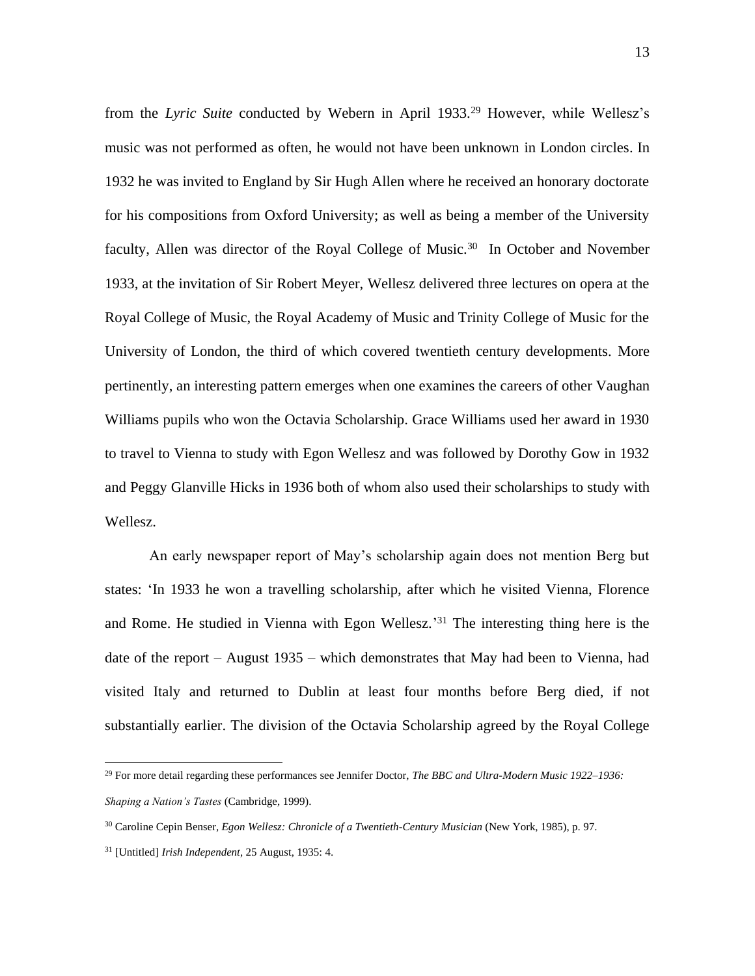from the *Lyric Suite* conducted by Webern in April 1933.<sup>29</sup> However, while Wellesz's music was not performed as often, he would not have been unknown in London circles. In 1932 he was invited to England by Sir Hugh Allen where he received an honorary doctorate for his compositions from Oxford University; as well as being a member of the University faculty, Allen was director of the Royal College of Music.<sup>30</sup> In October and November 1933, at the invitation of Sir Robert Meyer, Wellesz delivered three lectures on opera at the Royal College of Music, the Royal Academy of Music and Trinity College of Music for the University of London, the third of which covered twentieth century developments. More pertinently, an interesting pattern emerges when one examines the careers of other Vaughan Williams pupils who won the Octavia Scholarship. Grace Williams used her award in 1930 to travel to Vienna to study with Egon Wellesz and was followed by Dorothy Gow in 1932 and Peggy Glanville Hicks in 1936 both of whom also used their scholarships to study with Wellesz.

An early newspaper report of May's scholarship again does not mention Berg but states: 'In 1933 he won a travelling scholarship, after which he visited Vienna, Florence and Rome. He studied in Vienna with Egon Wellesz.<sup>31</sup> The interesting thing here is the date of the report – August 1935 – which demonstrates that May had been to Vienna, had visited Italy and returned to Dublin at least four months before Berg died, if not substantially earlier. The division of the Octavia Scholarship agreed by the Royal College

<sup>29</sup> For more detail regarding these performances see Jennifer Doctor, *The BBC and Ultra-Modern Music 1922–1936: Shaping a Nation's Tastes* (Cambridge, 1999).

<sup>30</sup> Caroline Cepin Benser, *Egon Wellesz: Chronicle of a Twentieth-Century Musician* (New York, 1985), p. 97.

<sup>31</sup> [Untitled] *Irish Independent*, 25 August, 1935: 4.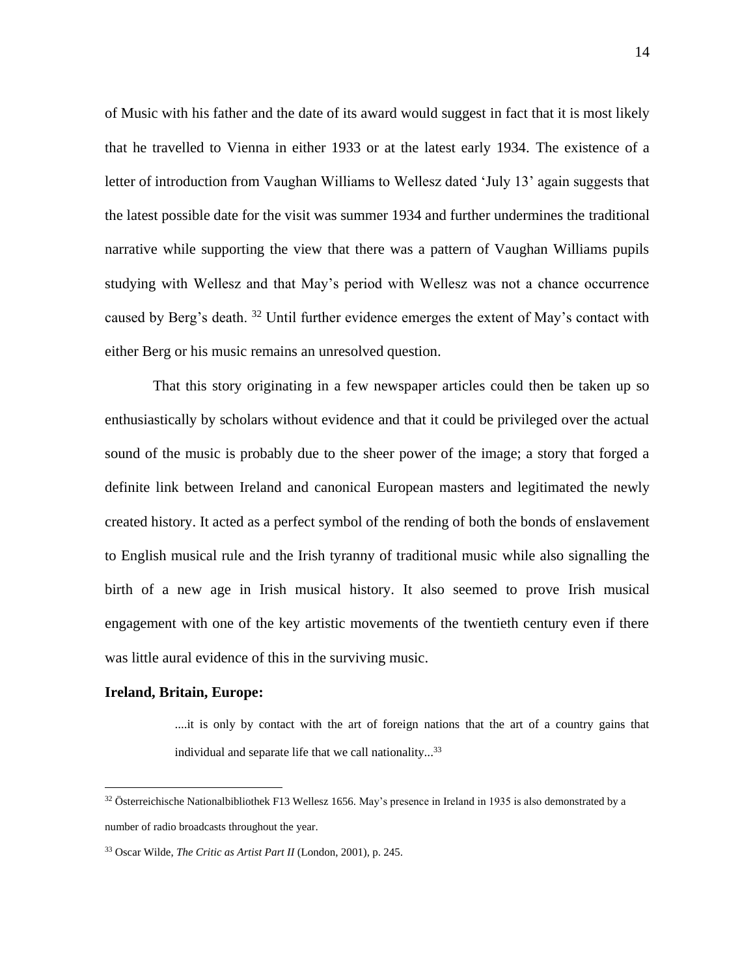of Music with his father and the date of its award would suggest in fact that it is most likely that he travelled to Vienna in either 1933 or at the latest early 1934. The existence of a letter of introduction from Vaughan Williams to Wellesz dated 'July 13' again suggests that the latest possible date for the visit was summer 1934 and further undermines the traditional narrative while supporting the view that there was a pattern of Vaughan Williams pupils studying with Wellesz and that May's period with Wellesz was not a chance occurrence caused by Berg's death. <sup>32</sup> Until further evidence emerges the extent of May's contact with either Berg or his music remains an unresolved question.

That this story originating in a few newspaper articles could then be taken up so enthusiastically by scholars without evidence and that it could be privileged over the actual sound of the music is probably due to the sheer power of the image; a story that forged a definite link between Ireland and canonical European masters and legitimated the newly created history. It acted as a perfect symbol of the rending of both the bonds of enslavement to English musical rule and the Irish tyranny of traditional music while also signalling the birth of a new age in Irish musical history. It also seemed to prove Irish musical engagement with one of the key artistic movements of the twentieth century even if there was little aural evidence of this in the surviving music.

#### **Ireland, Britain, Europe:**

<u>.</u>

....it is only by contact with the art of foreign nations that the art of a country gains that individual and separate life that we call nationality...<sup>33</sup>

 $32$  Österreichische Nationalbibliothek F13 Wellesz 1656. May's presence in Ireland in 1935 is also demonstrated by a number of radio broadcasts throughout the year.

<sup>33</sup> Oscar Wilde, *The Critic as Artist Part II* (London, 2001), p. 245.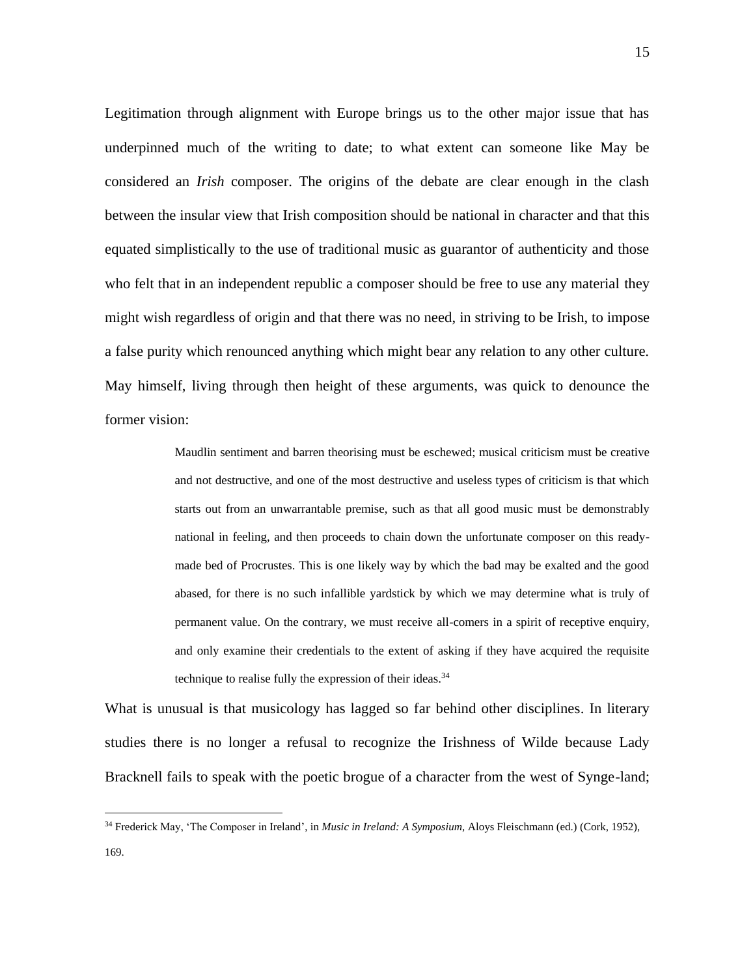Legitimation through alignment with Europe brings us to the other major issue that has underpinned much of the writing to date; to what extent can someone like May be considered an *Irish* composer. The origins of the debate are clear enough in the clash between the insular view that Irish composition should be national in character and that this equated simplistically to the use of traditional music as guarantor of authenticity and those who felt that in an independent republic a composer should be free to use any material they might wish regardless of origin and that there was no need, in striving to be Irish, to impose a false purity which renounced anything which might bear any relation to any other culture. May himself, living through then height of these arguments, was quick to denounce the former vision:

> Maudlin sentiment and barren theorising must be eschewed; musical criticism must be creative and not destructive, and one of the most destructive and useless types of criticism is that which starts out from an unwarrantable premise, such as that all good music must be demonstrably national in feeling, and then proceeds to chain down the unfortunate composer on this readymade bed of Procrustes. This is one likely way by which the bad may be exalted and the good abased, for there is no such infallible yardstick by which we may determine what is truly of permanent value. On the contrary, we must receive all-comers in a spirit of receptive enquiry, and only examine their credentials to the extent of asking if they have acquired the requisite technique to realise fully the expression of their ideas.<sup>34</sup>

What is unusual is that musicology has lagged so far behind other disciplines. In literary studies there is no longer a refusal to recognize the Irishness of Wilde because Lady Bracknell fails to speak with the poetic brogue of a character from the west of Synge-land;

<sup>34</sup> Frederick May, 'The Composer in Ireland', in *Music in Ireland: A Symposium*, Aloys Fleischmann (ed.) (Cork, 1952), 169.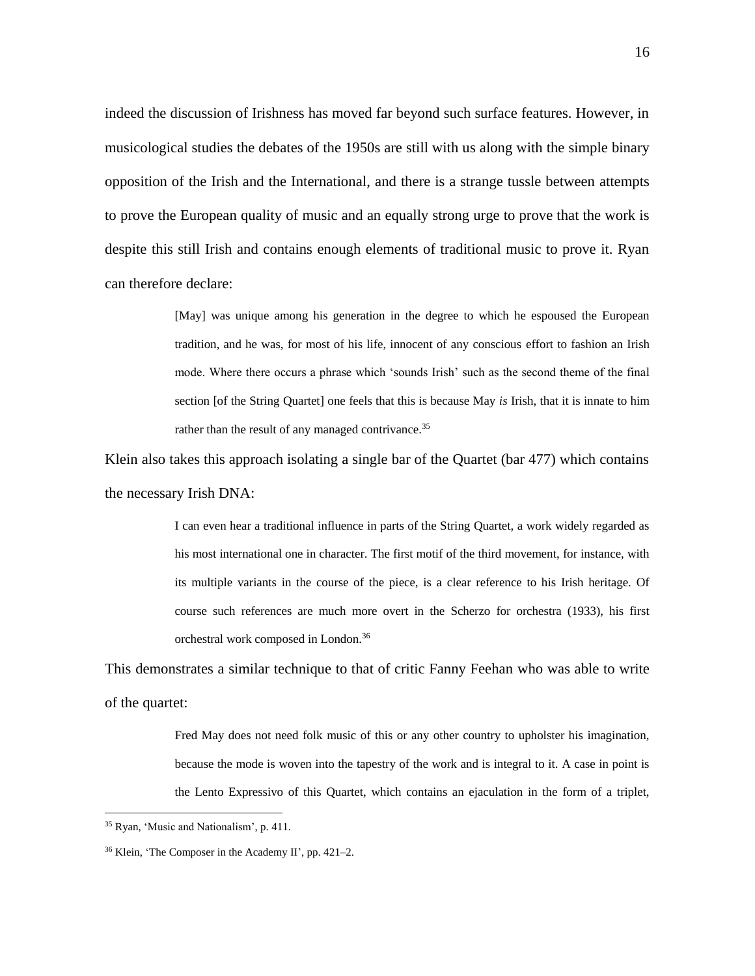indeed the discussion of Irishness has moved far beyond such surface features. However, in musicological studies the debates of the 1950s are still with us along with the simple binary opposition of the Irish and the International, and there is a strange tussle between attempts to prove the European quality of music and an equally strong urge to prove that the work is despite this still Irish and contains enough elements of traditional music to prove it. Ryan can therefore declare:

> [May] was unique among his generation in the degree to which he espoused the European tradition, and he was, for most of his life, innocent of any conscious effort to fashion an Irish mode. Where there occurs a phrase which 'sounds Irish' such as the second theme of the final section [of the String Quartet] one feels that this is because May *is* Irish, that it is innate to him rather than the result of any managed contrivance.<sup>35</sup>

Klein also takes this approach isolating a single bar of the Quartet (bar 477) which contains the necessary Irish DNA:

> I can even hear a traditional influence in parts of the String Quartet, a work widely regarded as his most international one in character. The first motif of the third movement, for instance, with its multiple variants in the course of the piece, is a clear reference to his Irish heritage. Of course such references are much more overt in the Scherzo for orchestra (1933), his first orchestral work composed in London.<sup>36</sup>

This demonstrates a similar technique to that of critic Fanny Feehan who was able to write of the quartet:

> Fred May does not need folk music of this or any other country to upholster his imagination, because the mode is woven into the tapestry of the work and is integral to it. A case in point is the Lento Expressivo of this Quartet, which contains an ejaculation in the form of a triplet,

<sup>35</sup> Ryan, 'Music and Nationalism', p. 411.

<sup>36</sup> Klein, 'The Composer in the Academy II', pp. 421–2.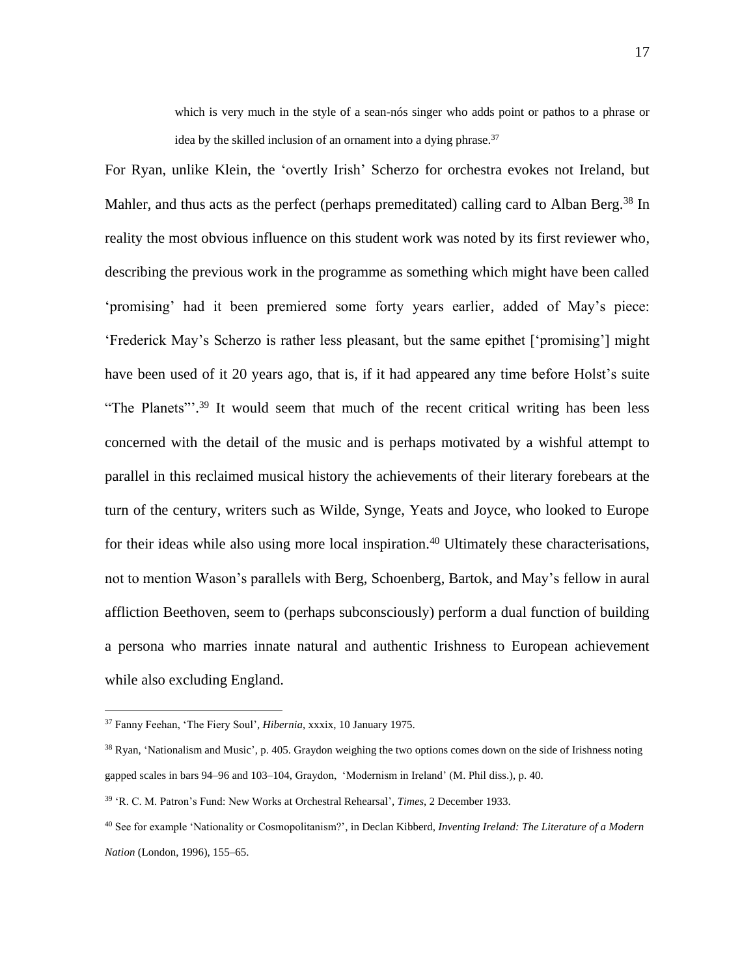which is very much in the style of a sean-nós singer who adds point or pathos to a phrase or idea by the skilled inclusion of an ornament into a dying phrase.<sup>37</sup>

For Ryan, unlike Klein, the 'overtly Irish' Scherzo for orchestra evokes not Ireland, but Mahler, and thus acts as the perfect (perhaps premeditated) calling card to Alban Berg.<sup>38</sup> In reality the most obvious influence on this student work was noted by its first reviewer who, describing the previous work in the programme as something which might have been called 'promising' had it been premiered some forty years earlier, added of May's piece: 'Frederick May's Scherzo is rather less pleasant, but the same epithet ['promising'] might have been used of it 20 years ago, that is, if it had appeared any time before Holst's suite "The Planets"'.<sup>39</sup> It would seem that much of the recent critical writing has been less concerned with the detail of the music and is perhaps motivated by a wishful attempt to parallel in this reclaimed musical history the achievements of their literary forebears at the turn of the century, writers such as Wilde, Synge, Yeats and Joyce, who looked to Europe for their ideas while also using more local inspiration.<sup>40</sup> Ultimately these characterisations, not to mention Wason's parallels with Berg, Schoenberg, Bartok, and May's fellow in aural affliction Beethoven, seem to (perhaps subconsciously) perform a dual function of building a persona who marries innate natural and authentic Irishness to European achievement while also excluding England.

<sup>37</sup> Fanny Feehan, 'The Fiery Soul', *Hibernia*, xxxix, 10 January 1975.

<sup>38</sup> Ryan, 'Nationalism and Music', p. 405. Graydon weighing the two options comes down on the side of Irishness noting gapped scales in bars 94–96 and 103–104, Graydon, 'Modernism in Ireland' (M. Phil diss.), p. 40.

<sup>39</sup> 'R. C. M. Patron's Fund: New Works at Orchestral Rehearsal', *Times*, 2 December 1933.

<sup>40</sup> See for example 'Nationality or Cosmopolitanism?', in Declan Kibberd, *Inventing Ireland: The Literature of a Modern Nation* (London, 1996), 155–65.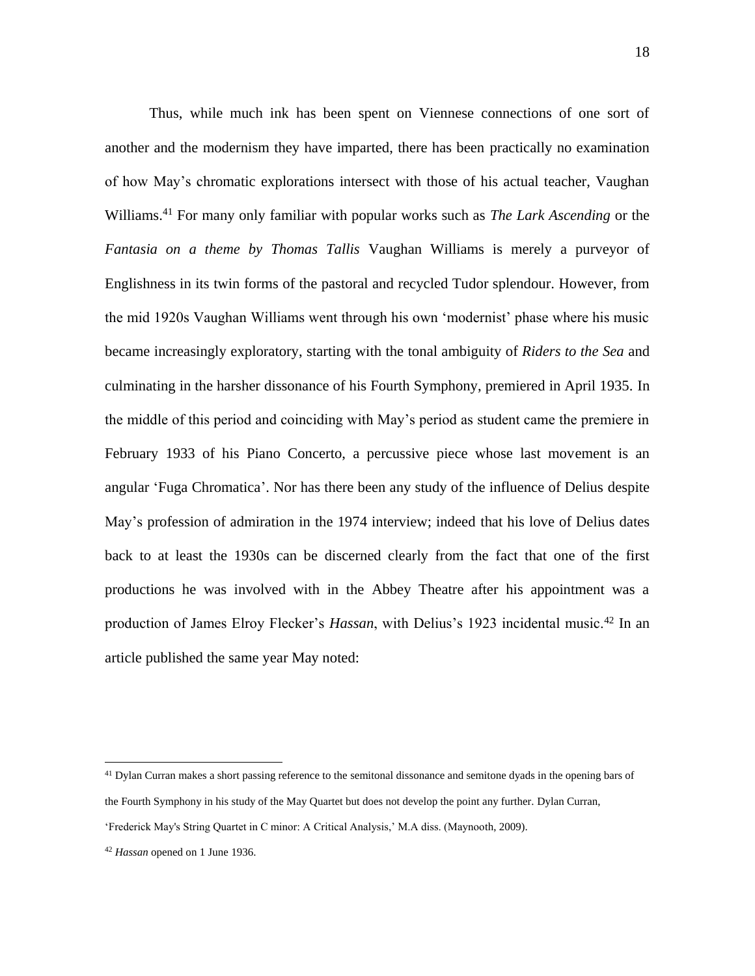Thus, while much ink has been spent on Viennese connections of one sort of another and the modernism they have imparted, there has been practically no examination of how May's chromatic explorations intersect with those of his actual teacher, Vaughan Williams.<sup>41</sup> For many only familiar with popular works such as *The Lark Ascending* or the *Fantasia on a theme by Thomas Tallis* Vaughan Williams is merely a purveyor of Englishness in its twin forms of the pastoral and recycled Tudor splendour. However, from the mid 1920s Vaughan Williams went through his own 'modernist' phase where his music became increasingly exploratory, starting with the tonal ambiguity of *Riders to the Sea* and culminating in the harsher dissonance of his Fourth Symphony, premiered in April 1935. In the middle of this period and coinciding with May's period as student came the premiere in February 1933 of his Piano Concerto, a percussive piece whose last movement is an angular 'Fuga Chromatica'. Nor has there been any study of the influence of Delius despite May's profession of admiration in the 1974 interview; indeed that his love of Delius dates back to at least the 1930s can be discerned clearly from the fact that one of the first productions he was involved with in the Abbey Theatre after his appointment was a production of James Elroy Flecker's *Hassan*, with Delius's 1923 incidental music.<sup>42</sup> In an article published the same year May noted:

<sup>&</sup>lt;sup>41</sup> Dylan Curran makes a short passing reference to the semitonal dissonance and semitone dyads in the opening bars of the Fourth Symphony in his study of the May Quartet but does not develop the point any further. Dylan Curran, 'Frederick May's String Quartet in C minor: A Critical Analysis,' M.A diss. (Maynooth, 2009).

<sup>42</sup> *Hassan* opened on 1 June 1936.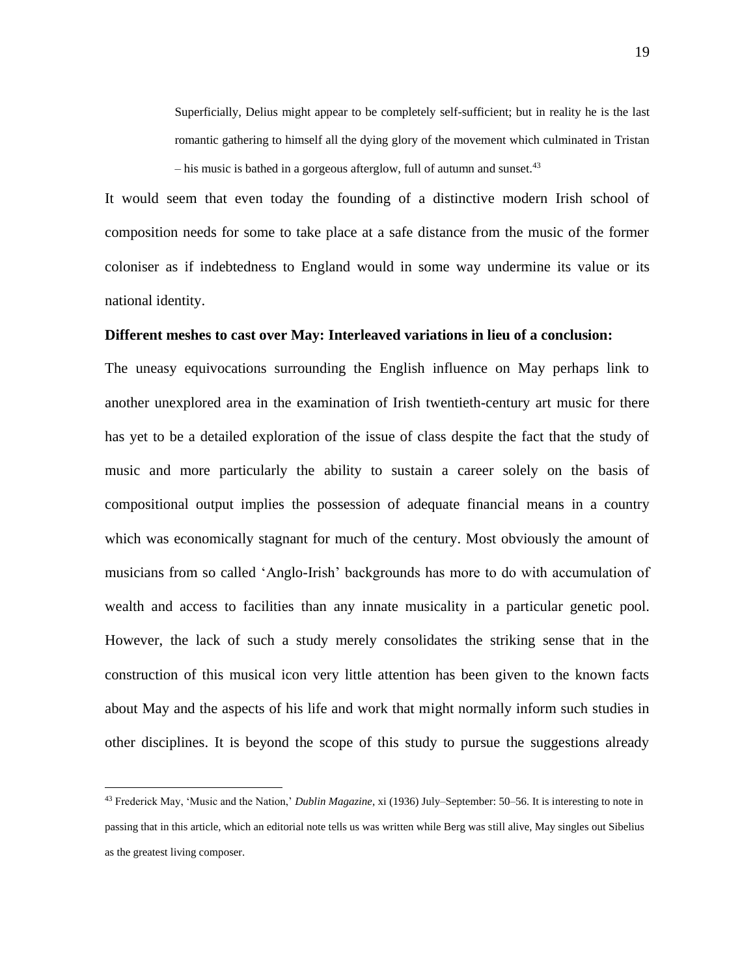Superficially, Delius might appear to be completely self-sufficient; but in reality he is the last romantic gathering to himself all the dying glory of the movement which culminated in Tristan  $-$  his music is bathed in a gorgeous afterglow, full of autumn and sunset.<sup>43</sup>

It would seem that even today the founding of a distinctive modern Irish school of composition needs for some to take place at a safe distance from the music of the former coloniser as if indebtedness to England would in some way undermine its value or its national identity.

#### **Different meshes to cast over May: Interleaved variations in lieu of a conclusion:**

The uneasy equivocations surrounding the English influence on May perhaps link to another unexplored area in the examination of Irish twentieth-century art music for there has yet to be a detailed exploration of the issue of class despite the fact that the study of music and more particularly the ability to sustain a career solely on the basis of compositional output implies the possession of adequate financial means in a country which was economically stagnant for much of the century. Most obviously the amount of musicians from so called 'Anglo-Irish' backgrounds has more to do with accumulation of wealth and access to facilities than any innate musicality in a particular genetic pool. However, the lack of such a study merely consolidates the striking sense that in the construction of this musical icon very little attention has been given to the known facts about May and the aspects of his life and work that might normally inform such studies in other disciplines. It is beyond the scope of this study to pursue the suggestions already

<sup>43</sup> Frederick May, 'Music and the Nation,' *Dublin Magazine*, xi (1936) July–September: 50–56. It is interesting to note in passing that in this article, which an editorial note tells us was written while Berg was still alive, May singles out Sibelius as the greatest living composer.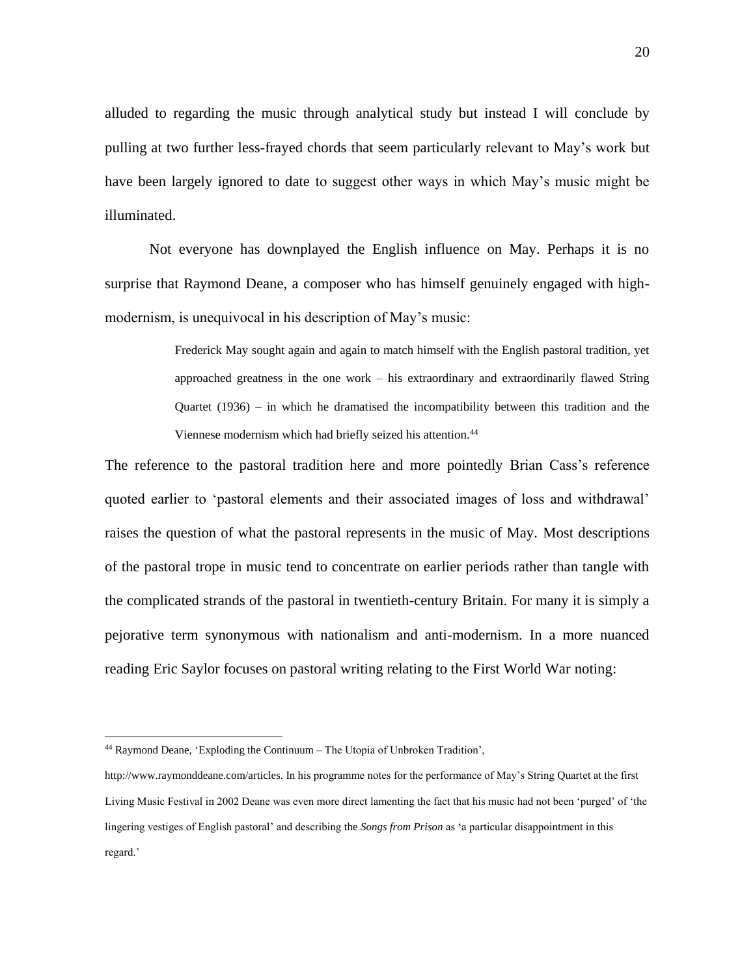alluded to regarding the music through analytical study but instead I will conclude by pulling at two further less-frayed chords that seem particularly relevant to May's work but have been largely ignored to date to suggest other ways in which May's music might be illuminated.

Not everyone has downplayed the English influence on May. Perhaps it is no surprise that Raymond Deane, a composer who has himself genuinely engaged with highmodernism, is unequivocal in his description of May's music:

> Frederick May sought again and again to match himself with the English pastoral tradition, yet approached greatness in the one work – his extraordinary and extraordinarily flawed String Quartet (1936) – in which he dramatised the incompatibility between this tradition and the Viennese modernism which had briefly seized his attention.<sup>44</sup>

The reference to the pastoral tradition here and more pointedly Brian Cass's reference quoted earlier to 'pastoral elements and their associated images of loss and withdrawal' raises the question of what the pastoral represents in the music of May. Most descriptions of the pastoral trope in music tend to concentrate on earlier periods rather than tangle with the complicated strands of the pastoral in twentieth-century Britain. For many it is simply a pejorative term synonymous with nationalism and anti-modernism. In a more nuanced reading Eric Saylor focuses on pastoral writing relating to the First World War noting:

<sup>44</sup> Raymond Deane, 'Exploding the Continuum – The Utopia of Unbroken Tradition',

http://www.raymonddeane.com/articles. In his programme notes for the performance of May's String Quartet at the first Living Music Festival in 2002 Deane was even more direct lamenting the fact that his music had not been 'purged' of 'the lingering vestiges of English pastoral' and describing the *Songs from Prison* as 'a particular disappointment in this regard.'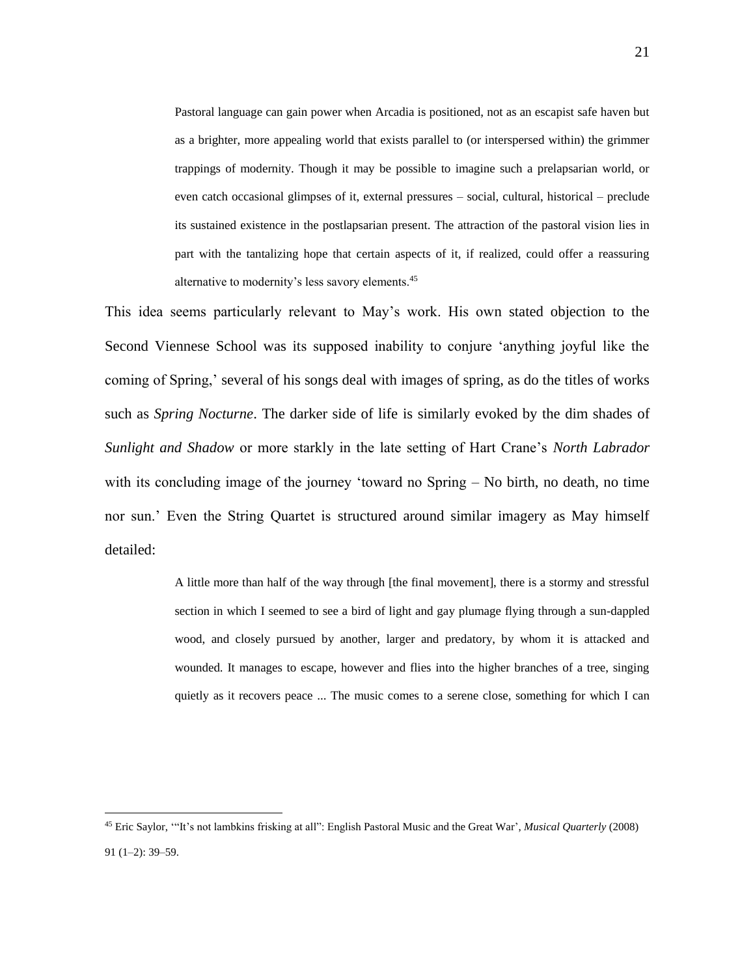Pastoral language can gain power when Arcadia is positioned, not as an escapist safe haven but as a brighter, more appealing world that exists parallel to (or interspersed within) the grimmer trappings of modernity. Though it may be possible to imagine such a prelapsarian world, or even catch occasional glimpses of it, external pressures – social, cultural, historical – preclude its sustained existence in the postlapsarian present. The attraction of the pastoral vision lies in part with the tantalizing hope that certain aspects of it, if realized, could offer a reassuring alternative to modernity's less savory elements.<sup>45</sup>

This idea seems particularly relevant to May's work. His own stated objection to the Second Viennese School was its supposed inability to conjure 'anything joyful like the coming of Spring,' several of his songs deal with images of spring, as do the titles of works such as *Spring Nocturne*. The darker side of life is similarly evoked by the dim shades of *Sunlight and Shadow* or more starkly in the late setting of Hart Crane's *North Labrador* with its concluding image of the journey 'toward no Spring – No birth, no death, no time nor sun.' Even the String Quartet is structured around similar imagery as May himself detailed:

> A little more than half of the way through [the final movement], there is a stormy and stressful section in which I seemed to see a bird of light and gay plumage flying through a sun-dappled wood, and closely pursued by another, larger and predatory, by whom it is attacked and wounded. It manages to escape, however and flies into the higher branches of a tree, singing quietly as it recovers peace ... The music comes to a serene close, something for which I can

<sup>45</sup> Eric Saylor, '"It's not lambkins frisking at all": English Pastoral Music and the Great War', *Musical Quarterly* (2008) 91 (1–2): 39–59.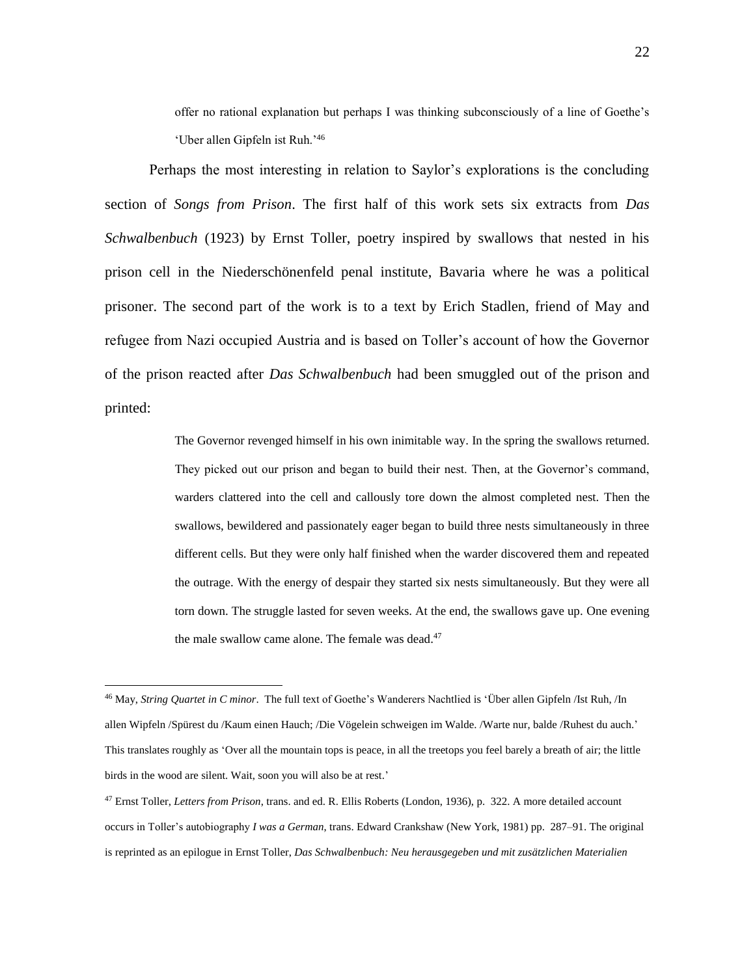offer no rational explanation but perhaps I was thinking subconsciously of a line of Goethe's 'Uber allen Gipfeln ist Ruh.'<sup>46</sup>

Perhaps the most interesting in relation to Saylor's explorations is the concluding section of *Songs from Prison*. The first half of this work sets six extracts from *Das Schwalbenbuch* (1923) by Ernst Toller, poetry inspired by swallows that nested in his prison cell in the Niederschönenfeld penal institute, Bavaria where he was a political prisoner. The second part of the work is to a text by Erich Stadlen, friend of May and refugee from Nazi occupied Austria and is based on Toller's account of how the Governor of the prison reacted after *Das Schwalbenbuch* had been smuggled out of the prison and printed:

> The Governor revenged himself in his own inimitable way. In the spring the swallows returned. They picked out our prison and began to build their nest. Then, at the Governor's command, warders clattered into the cell and callously tore down the almost completed nest. Then the swallows, bewildered and passionately eager began to build three nests simultaneously in three different cells. But they were only half finished when the warder discovered them and repeated the outrage. With the energy of despair they started six nests simultaneously. But they were all torn down. The struggle lasted for seven weeks. At the end, the swallows gave up. One evening the male swallow came alone. The female was dead. $47$

<sup>46</sup> May, *String Quartet in C minor*. The full text of Goethe's Wanderers Nachtlied is 'Über allen Gipfeln /Ist Ruh, /In allen Wipfeln /Spürest du /Kaum einen Hauch; /Die Vögelein schweigen im Walde. /Warte nur, balde /Ruhest du auch.' This translates roughly as 'Over all the mountain tops is peace, in all the treetops you feel barely a breath of air; the little birds in the wood are silent. Wait, soon you will also be at rest.'

<sup>47</sup> Ernst Toller, *Letters from Prison*, trans. and ed. R. Ellis Roberts (London, 1936), p. 322. A more detailed account occurs in Toller's autobiography *I was a German*, trans. Edward Crankshaw (New York, 1981) pp. 287–91. The original is reprinted as an epilogue in Ernst Toller, *Das Schwalbenbuch: Neu herausgegeben und mit zusätzlichen Materialien*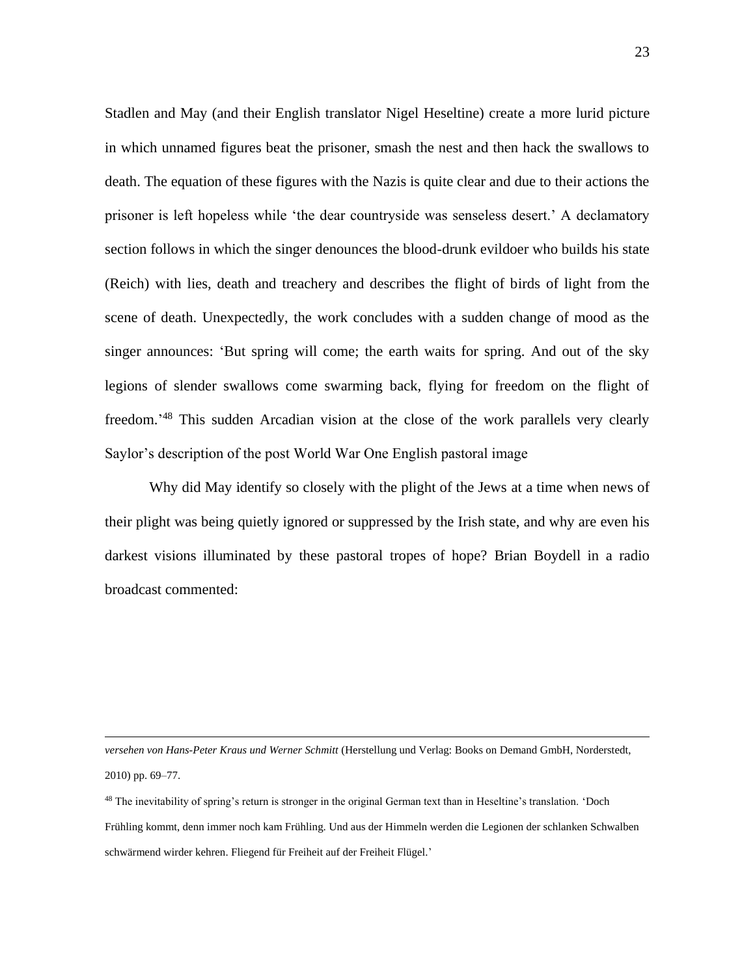Stadlen and May (and their English translator Nigel Heseltine) create a more lurid picture in which unnamed figures beat the prisoner, smash the nest and then hack the swallows to death. The equation of these figures with the Nazis is quite clear and due to their actions the prisoner is left hopeless while 'the dear countryside was senseless desert.' A declamatory section follows in which the singer denounces the blood-drunk evildoer who builds his state (Reich) with lies, death and treachery and describes the flight of birds of light from the scene of death. Unexpectedly, the work concludes with a sudden change of mood as the singer announces: 'But spring will come; the earth waits for spring. And out of the sky legions of slender swallows come swarming back, flying for freedom on the flight of freedom.<sup>48</sup> This sudden Arcadian vision at the close of the work parallels very clearly Saylor's description of the post World War One English pastoral image

Why did May identify so closely with the plight of the Jews at a time when news of their plight was being quietly ignored or suppressed by the Irish state, and why are even his darkest visions illuminated by these pastoral tropes of hope? Brian Boydell in a radio broadcast commented:

*versehen von Hans-Peter Kraus und Werner Schmitt* (Herstellung und Verlag: Books on Demand GmbH, Norderstedt, 2010) pp. 69–77.

<sup>48</sup> The inevitability of spring's return is stronger in the original German text than in Heseltine's translation. 'Doch Frühling kommt, denn immer noch kam Frühling. Und aus der Himmeln werden die Legionen der schlanken Schwalben schwärmend wirder kehren. Fliegend für Freiheit auf der Freiheit Flügel.'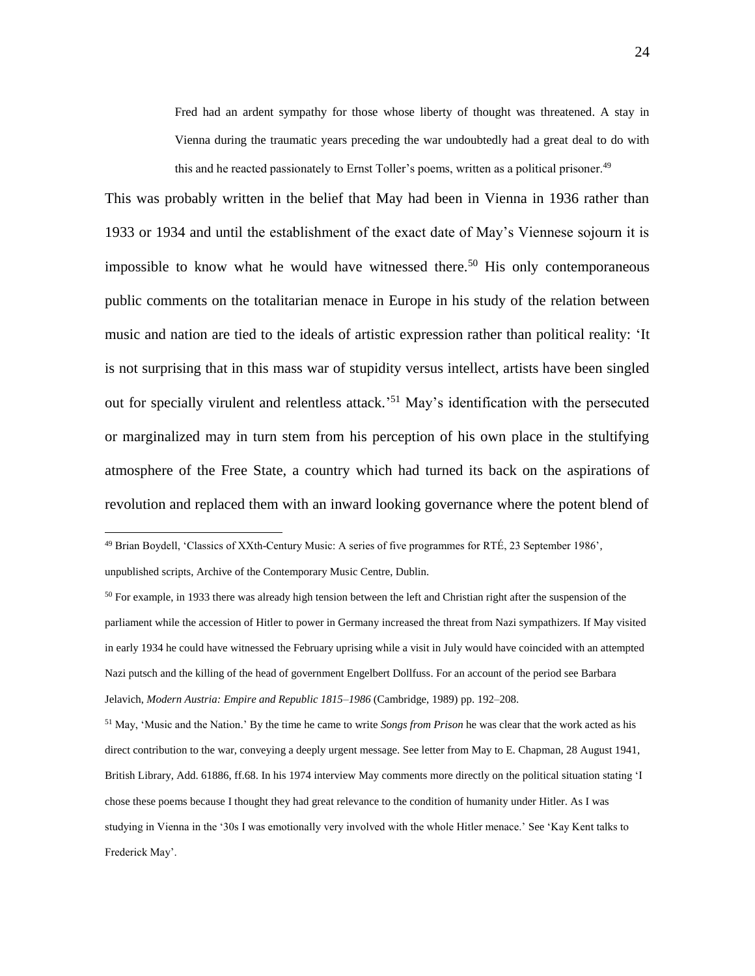Fred had an ardent sympathy for those whose liberty of thought was threatened. A stay in Vienna during the traumatic years preceding the war undoubtedly had a great deal to do with this and he reacted passionately to Ernst Toller's poems, written as a political prisoner.<sup>49</sup>

This was probably written in the belief that May had been in Vienna in 1936 rather than 1933 or 1934 and until the establishment of the exact date of May's Viennese sojourn it is impossible to know what he would have witnessed there.<sup>50</sup> His only contemporaneous public comments on the totalitarian menace in Europe in his study of the relation between music and nation are tied to the ideals of artistic expression rather than political reality: 'It is not surprising that in this mass war of stupidity versus intellect, artists have been singled out for specially virulent and relentless attack.' <sup>51</sup> May's identification with the persecuted or marginalized may in turn stem from his perception of his own place in the stultifying atmosphere of the Free State, a country which had turned its back on the aspirations of revolution and replaced them with an inward looking governance where the potent blend of

<sup>49</sup> Brian Boydell, 'Classics of XXth-Century Music: A series of five programmes for RTÉ, 23 September 1986',

unpublished scripts, Archive of the Contemporary Music Centre, Dublin.

<u>.</u>

 $50$  For example, in 1933 there was already high tension between the left and Christian right after the suspension of the parliament while the accession of Hitler to power in Germany increased the threat from Nazi sympathizers. If May visited in early 1934 he could have witnessed the February uprising while a visit in July would have coincided with an attempted Nazi putsch and the killing of the head of government Engelbert Dollfuss. For an account of the period see Barbara Jelavich, *Modern Austria: Empire and Republic 1815–1986* (Cambridge, 1989) pp. 192–208.

<sup>51</sup> May, 'Music and the Nation.' By the time he came to write *Songs from Prison* he was clear that the work acted as his direct contribution to the war, conveying a deeply urgent message. See letter from May to E. Chapman, 28 August 1941, British Library, Add. 61886, ff.68. In his 1974 interview May comments more directly on the political situation stating 'I chose these poems because I thought they had great relevance to the condition of humanity under Hitler. As I was studying in Vienna in the '30s I was emotionally very involved with the whole Hitler menace.' See 'Kay Kent talks to Frederick May'.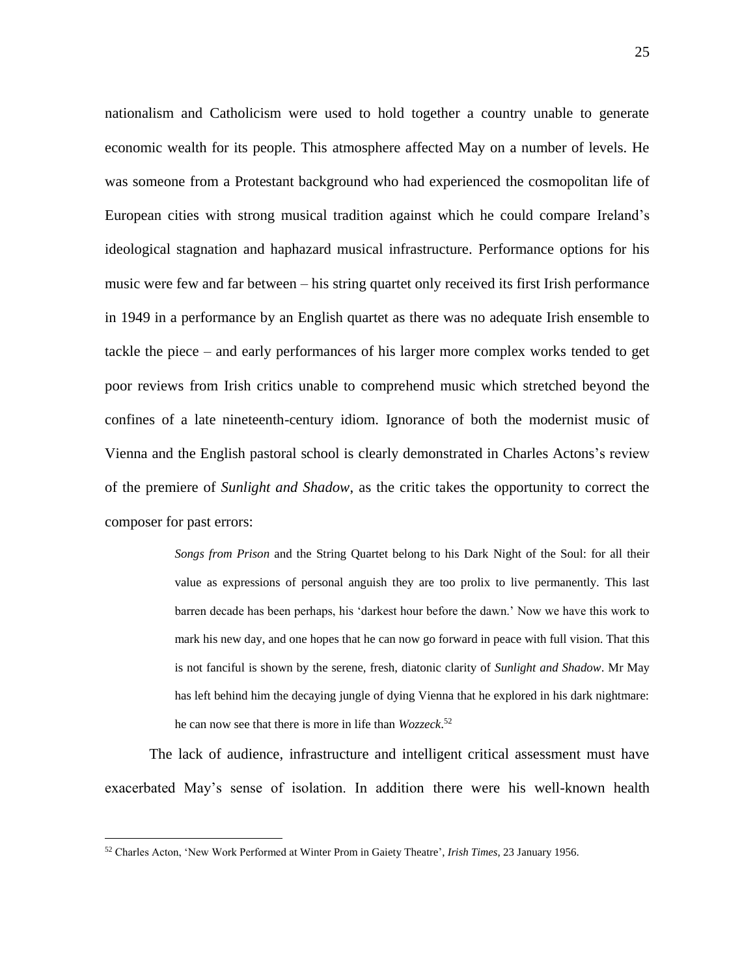nationalism and Catholicism were used to hold together a country unable to generate economic wealth for its people. This atmosphere affected May on a number of levels. He was someone from a Protestant background who had experienced the cosmopolitan life of European cities with strong musical tradition against which he could compare Ireland's ideological stagnation and haphazard musical infrastructure. Performance options for his music were few and far between – his string quartet only received its first Irish performance in 1949 in a performance by an English quartet as there was no adequate Irish ensemble to tackle the piece – and early performances of his larger more complex works tended to get poor reviews from Irish critics unable to comprehend music which stretched beyond the confines of a late nineteenth-century idiom. Ignorance of both the modernist music of Vienna and the English pastoral school is clearly demonstrated in Charles Actons's review of the premiere of *Sunlight and Shadow*, as the critic takes the opportunity to correct the composer for past errors:

> *Songs from Prison* and the String Quartet belong to his Dark Night of the Soul: for all their value as expressions of personal anguish they are too prolix to live permanently. This last barren decade has been perhaps, his 'darkest hour before the dawn.' Now we have this work to mark his new day, and one hopes that he can now go forward in peace with full vision. That this is not fanciful is shown by the serene, fresh, diatonic clarity of *Sunlight and Shadow*. Mr May has left behind him the decaying jungle of dying Vienna that he explored in his dark nightmare: he can now see that there is more in life than *Wozzeck*. 52

The lack of audience, infrastructure and intelligent critical assessment must have exacerbated May's sense of isolation. In addition there were his well-known health

<sup>52</sup> Charles Acton, 'New Work Performed at Winter Prom in Gaiety Theatre', *Irish Times*, 23 January 1956.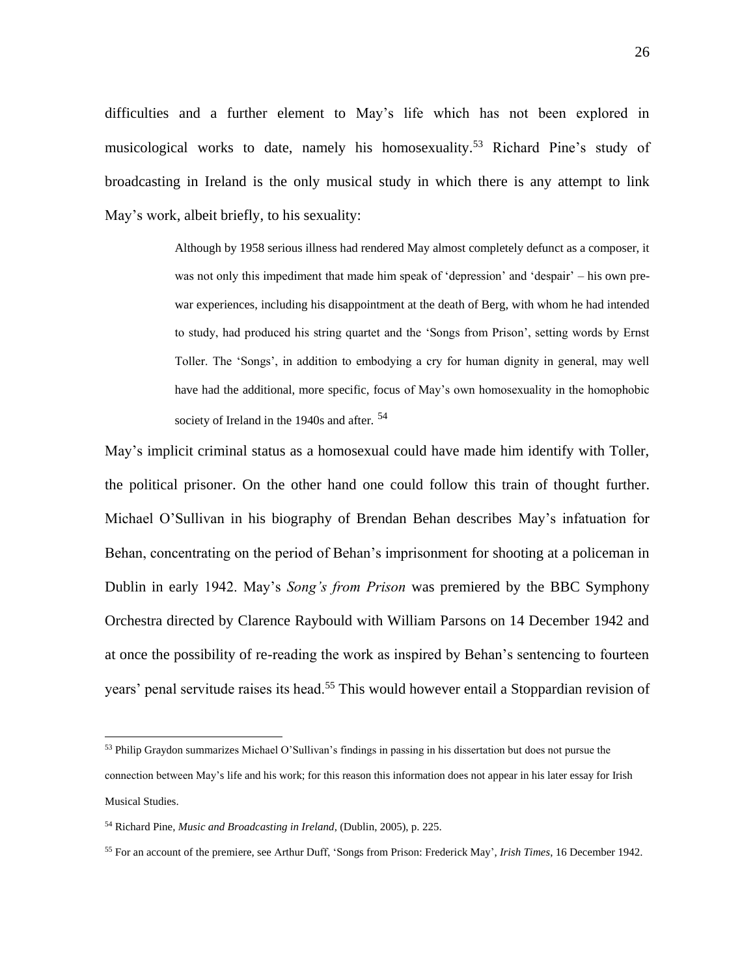difficulties and a further element to May's life which has not been explored in musicological works to date, namely his homosexuality.<sup>53</sup> Richard Pine's study of broadcasting in Ireland is the only musical study in which there is any attempt to link May's work, albeit briefly, to his sexuality:

> Although by 1958 serious illness had rendered May almost completely defunct as a composer, it was not only this impediment that made him speak of 'depression' and 'despair' – his own prewar experiences, including his disappointment at the death of Berg, with whom he had intended to study, had produced his string quartet and the 'Songs from Prison', setting words by Ernst Toller. The 'Songs', in addition to embodying a cry for human dignity in general, may well have had the additional, more specific, focus of May's own homosexuality in the homophobic society of Ireland in the 1940s and after. <sup>54</sup>

May's implicit criminal status as a homosexual could have made him identify with Toller, the political prisoner. On the other hand one could follow this train of thought further. Michael O'Sullivan in his biography of Brendan Behan describes May's infatuation for Behan, concentrating on the period of Behan's imprisonment for shooting at a policeman in Dublin in early 1942. May's *Song's from Prison* was premiered by the BBC Symphony Orchestra directed by Clarence Raybould with William Parsons on 14 December 1942 and at once the possibility of re-reading the work as inspired by Behan's sentencing to fourteen years' penal servitude raises its head.<sup>55</sup> This would however entail a Stoppardian revision of

<sup>53</sup> Philip Graydon summarizes Michael O'Sullivan's findings in passing in his dissertation but does not pursue the connection between May's life and his work; for this reason this information does not appear in his later essay for Irish Musical Studies.

<sup>54</sup> Richard Pine, *Music and Broadcasting in Ireland*, (Dublin, 2005), p. 225.

<sup>55</sup> For an account of the premiere, see Arthur Duff, 'Songs from Prison: Frederick May', *Irish Times*, 16 December 1942.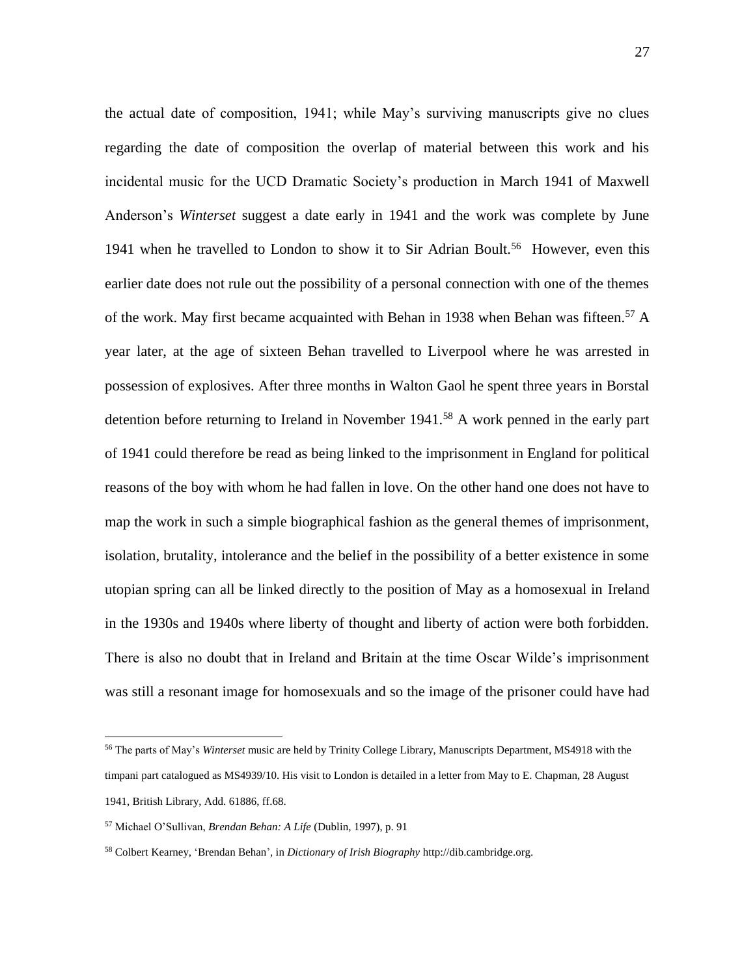the actual date of composition, 1941; while May's surviving manuscripts give no clues regarding the date of composition the overlap of material between this work and his incidental music for the UCD Dramatic Society's production in March 1941 of Maxwell Anderson's *Winterset* suggest a date early in 1941 and the work was complete by June 1941 when he travelled to London to show it to Sir Adrian Boult.<sup>56</sup> However, even this earlier date does not rule out the possibility of a personal connection with one of the themes of the work. May first became acquainted with Behan in 1938 when Behan was fifteen.<sup>57</sup> A year later, at the age of sixteen Behan travelled to Liverpool where he was arrested in possession of explosives. After three months in Walton Gaol he spent three years in Borstal detention before returning to Ireland in November 1941.<sup>58</sup> A work penned in the early part of 1941 could therefore be read as being linked to the imprisonment in England for political reasons of the boy with whom he had fallen in love. On the other hand one does not have to map the work in such a simple biographical fashion as the general themes of imprisonment, isolation, brutality, intolerance and the belief in the possibility of a better existence in some utopian spring can all be linked directly to the position of May as a homosexual in Ireland in the 1930s and 1940s where liberty of thought and liberty of action were both forbidden. There is also no doubt that in Ireland and Britain at the time Oscar Wilde's imprisonment was still a resonant image for homosexuals and so the image of the prisoner could have had

<sup>56</sup> The parts of May's *Winterset* music are held by Trinity College Library, Manuscripts Department, MS4918 with the timpani part catalogued as MS4939/10. His visit to London is detailed in a letter from May to E. Chapman, 28 August 1941, British Library, Add. 61886, ff.68.

<sup>57</sup> Michael O'Sullivan, *Brendan Behan: A Life* (Dublin, 1997), p. 91

<sup>58</sup> Colbert Kearney, 'Brendan Behan', in *Dictionary of Irish Biography* http://dib.cambridge.org.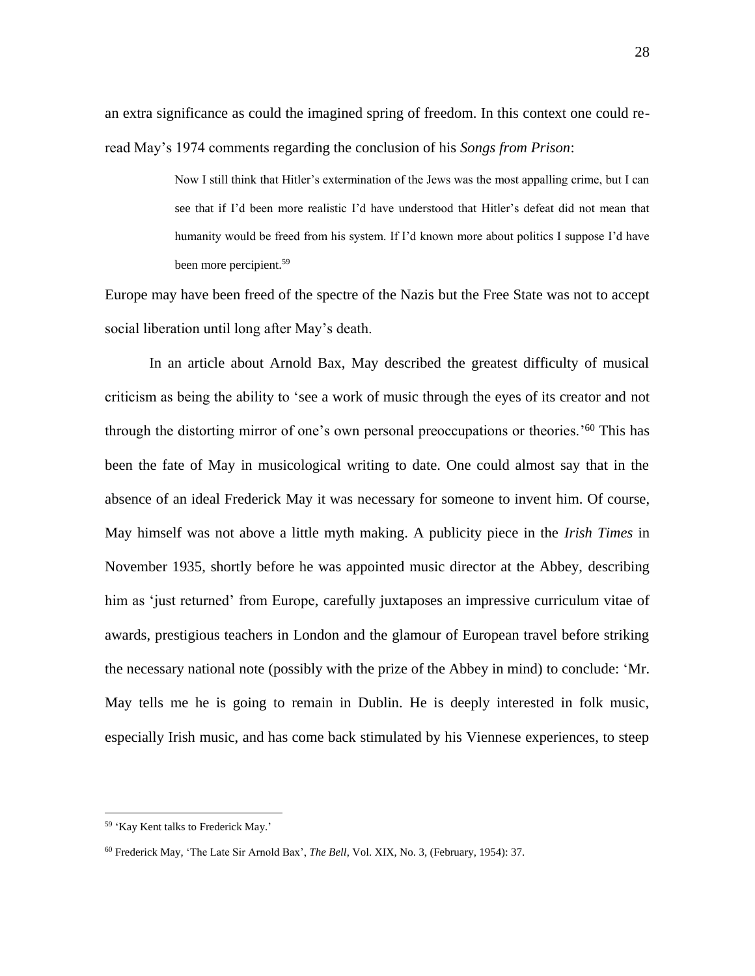an extra significance as could the imagined spring of freedom. In this context one could reread May's 1974 comments regarding the conclusion of his *Songs from Prison*:

> Now I still think that Hitler's extermination of the Jews was the most appalling crime, but I can see that if I'd been more realistic I'd have understood that Hitler's defeat did not mean that humanity would be freed from his system. If I'd known more about politics I suppose I'd have been more percipient.<sup>59</sup>

Europe may have been freed of the spectre of the Nazis but the Free State was not to accept social liberation until long after May's death.

In an article about Arnold Bax, May described the greatest difficulty of musical criticism as being the ability to 'see a work of music through the eyes of its creator and not through the distorting mirror of one's own personal preoccupations or theories.<sup>'60</sup> This has been the fate of May in musicological writing to date. One could almost say that in the absence of an ideal Frederick May it was necessary for someone to invent him. Of course, May himself was not above a little myth making. A publicity piece in the *Irish Times* in November 1935, shortly before he was appointed music director at the Abbey, describing him as 'just returned' from Europe, carefully juxtaposes an impressive curriculum vitae of awards, prestigious teachers in London and the glamour of European travel before striking the necessary national note (possibly with the prize of the Abbey in mind) to conclude: 'Mr. May tells me he is going to remain in Dublin. He is deeply interested in folk music, especially Irish music, and has come back stimulated by his Viennese experiences, to steep

<sup>59</sup> 'Kay Kent talks to Frederick May.'

<sup>60</sup> Frederick May, 'The Late Sir Arnold Bax', *The Bell*, Vol. XIX, No. 3, (February, 1954): 37.